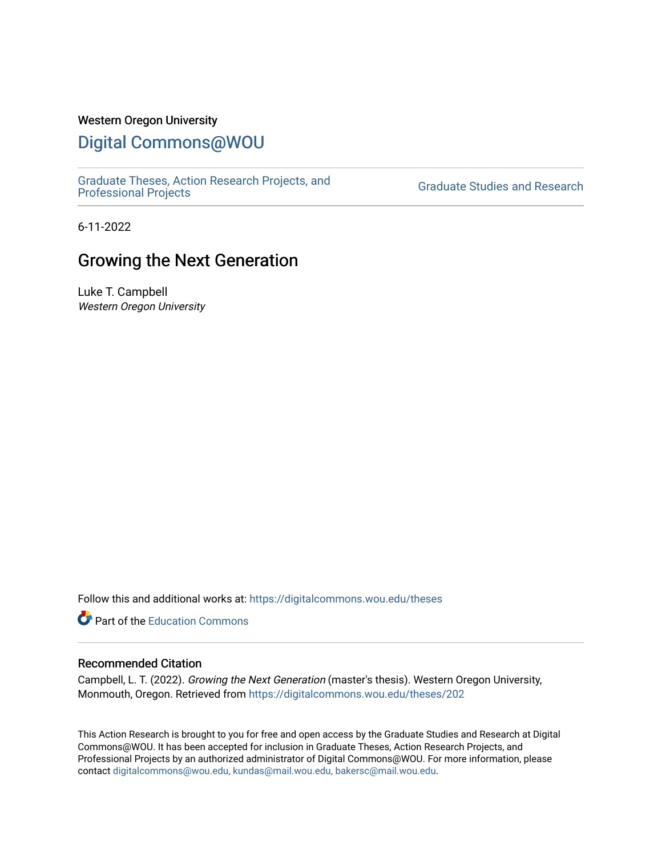## Western Oregon University

## [Digital Commons@WOU](https://digitalcommons.wou.edu/)

[Graduate Theses, Action Research Projects, and](https://digitalcommons.wou.edu/theses) 

**Graduate Studies and Research** 

6-11-2022

# Growing the Next Generation

Luke T. Campbell Western Oregon University

Follow this and additional works at: [https://digitalcommons.wou.edu/theses](https://digitalcommons.wou.edu/theses?utm_source=digitalcommons.wou.edu%2Ftheses%2F202&utm_medium=PDF&utm_campaign=PDFCoverPages) 

**C** Part of the [Education Commons](https://network.bepress.com/hgg/discipline/784?utm_source=digitalcommons.wou.edu%2Ftheses%2F202&utm_medium=PDF&utm_campaign=PDFCoverPages)

#### Recommended Citation

Campbell, L. T. (2022). Growing the Next Generation (master's thesis). Western Oregon University, Monmouth, Oregon. Retrieved from [https://digitalcommons.wou.edu/theses/202](https://digitalcommons.wou.edu/theses/202?utm_source=digitalcommons.wou.edu%2Ftheses%2F202&utm_medium=PDF&utm_campaign=PDFCoverPages) 

This Action Research is brought to you for free and open access by the Graduate Studies and Research at Digital Commons@WOU. It has been accepted for inclusion in Graduate Theses, Action Research Projects, and Professional Projects by an authorized administrator of Digital Commons@WOU. For more information, please contact [digitalcommons@wou.edu, kundas@mail.wou.edu, bakersc@mail.wou.edu](mailto:digitalcommons@wou.edu,%20kundas@mail.wou.edu,%20bakersc@mail.wou.edu).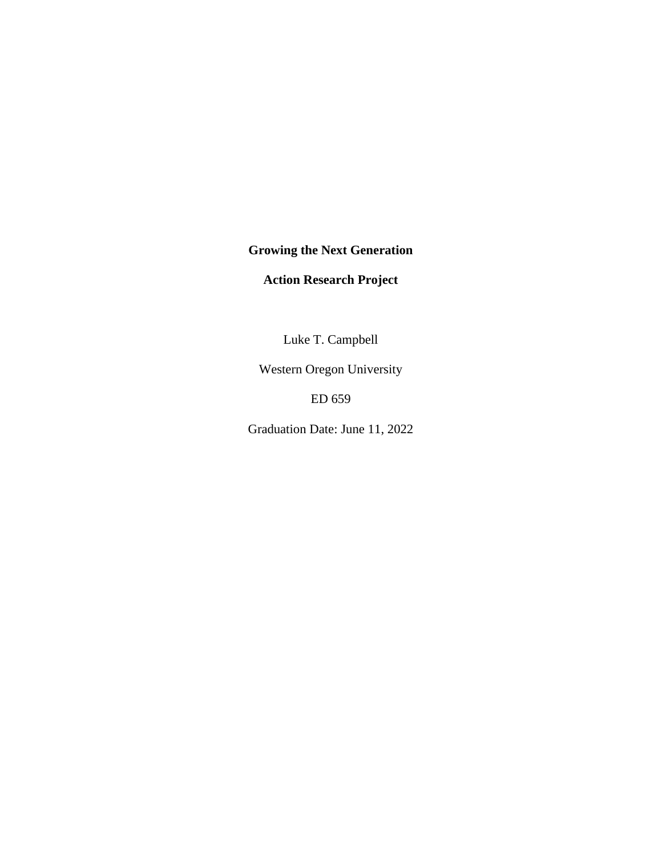**Growing the Next Generation**

**Action Research Project**

Luke T. Campbell

Western Oregon University

ED 659

Graduation Date: June 11, 2022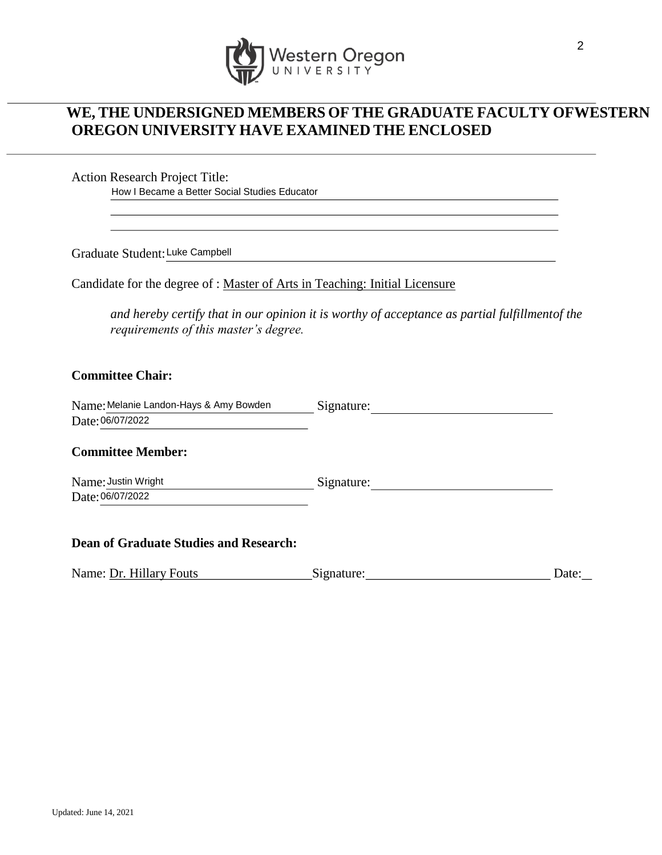

## **WE, THE UNDERSIGNED MEMBERS OF THE GRADUATE FACULTY OFWESTERN OREGON UNIVERSITY HAVE EXAMINED THE ENCLOSED**

Action Research Project Title:

How I Became a Better Social Studies Educator

Graduate Student:Luke Campbell

Candidate for the degree of : Master of Arts in Teaching: Initial Licensure

*and hereby certify that in our opinion it is worthy of acceptance as partial fulfillmentof the requirements of this master's degree.*

## **Committee Chair:**

| Name: Melanie Landon-Hays & Amy Bowden | Signature: |  |
|----------------------------------------|------------|--|
| Date: 06/07/2022                       |            |  |

## **Committee Member:**

Name: Justin Wright Date: 06/07/2022 Signature:

### **Dean of Graduate Studies and Research:**

Name: Dr. Hillary Fouts Signature: Signature: Date: Date: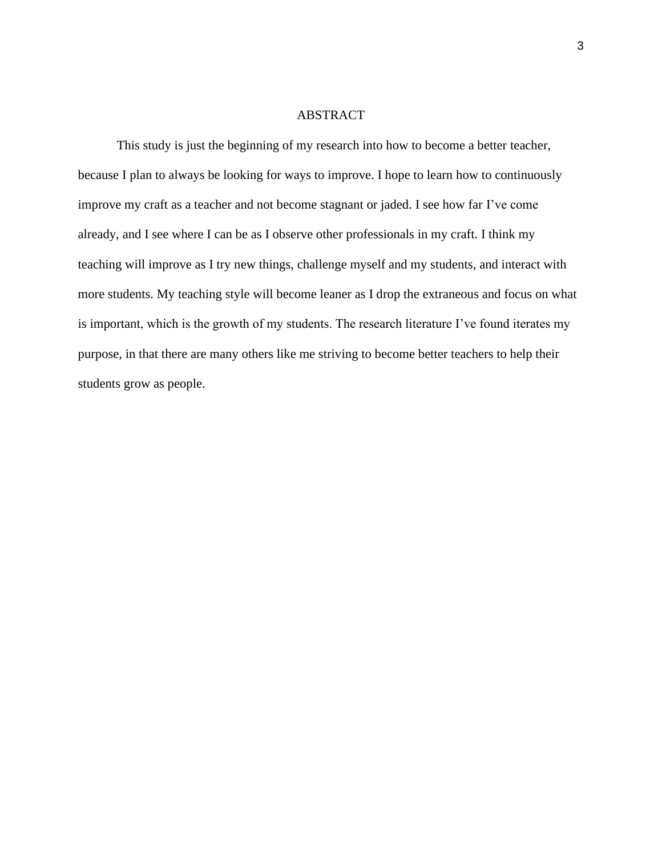## ABSTRACT

This study is just the beginning of my research into how to become a better teacher, because I plan to always be looking for ways to improve. I hope to learn how to continuously improve my craft as a teacher and not become stagnant or jaded. I see how far I've come already, and I see where I can be as I observe other professionals in my craft. I think my teaching will improve as I try new things, challenge myself and my students, and interact with more students. My teaching style will become leaner as I drop the extraneous and focus on what is important, which is the growth of my students. The research literature I've found iterates my purpose, in that there are many others like me striving to become better teachers to help their students grow as people.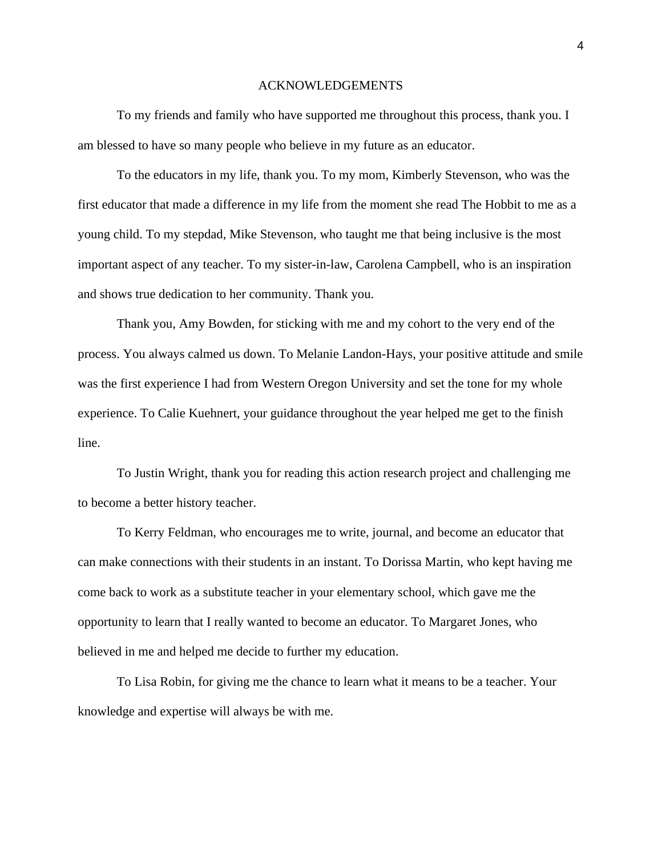#### ACKNOWLEDGEMENTS

To my friends and family who have supported me throughout this process, thank you. I am blessed to have so many people who believe in my future as an educator.

To the educators in my life, thank you. To my mom, Kimberly Stevenson, who was the first educator that made a difference in my life from the moment she read The Hobbit to me as a young child. To my stepdad, Mike Stevenson, who taught me that being inclusive is the most important aspect of any teacher. To my sister-in-law, Carolena Campbell, who is an inspiration and shows true dedication to her community. Thank you.

Thank you, Amy Bowden, for sticking with me and my cohort to the very end of the process. You always calmed us down. To Melanie Landon-Hays, your positive attitude and smile was the first experience I had from Western Oregon University and set the tone for my whole experience. To Calie Kuehnert, your guidance throughout the year helped me get to the finish line.

To Justin Wright, thank you for reading this action research project and challenging me to become a better history teacher.

To Kerry Feldman, who encourages me to write, journal, and become an educator that can make connections with their students in an instant. To Dorissa Martin, who kept having me come back to work as a substitute teacher in your elementary school, which gave me the opportunity to learn that I really wanted to become an educator. To Margaret Jones, who believed in me and helped me decide to further my education.

To Lisa Robin, for giving me the chance to learn what it means to be a teacher. Your knowledge and expertise will always be with me.

4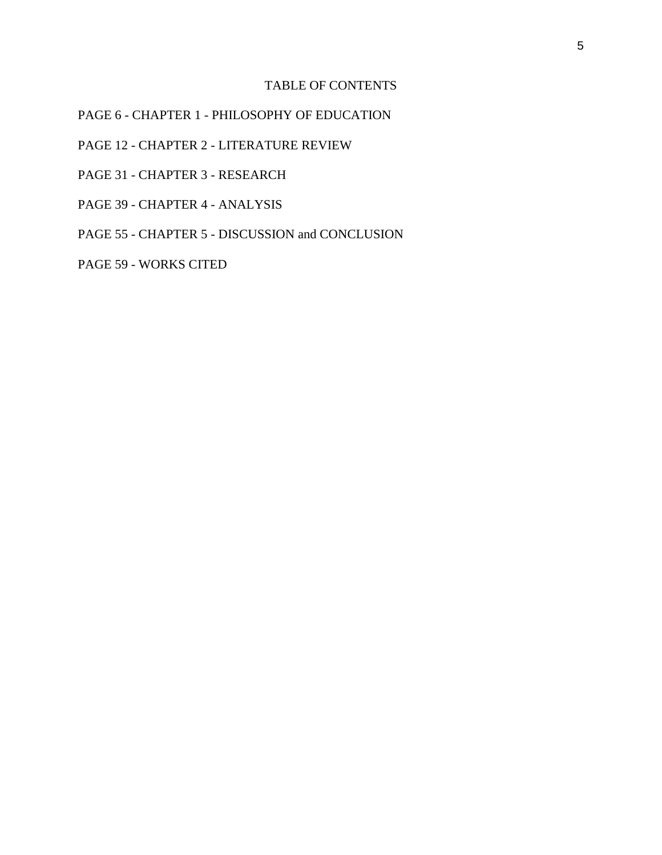## TABLE OF CONTENTS

PAGE 6 - CHAPTER 1 - PHILOSOPHY OF EDUCATION

PAGE 12 - CHAPTER 2 - LITERATURE REVIEW

- PAGE 31 CHAPTER 3 RESEARCH
- PAGE 39 CHAPTER 4 ANALYSIS

PAGE 55 - CHAPTER 5 - DISCUSSION and CONCLUSION

PAGE 59 - WORKS CITED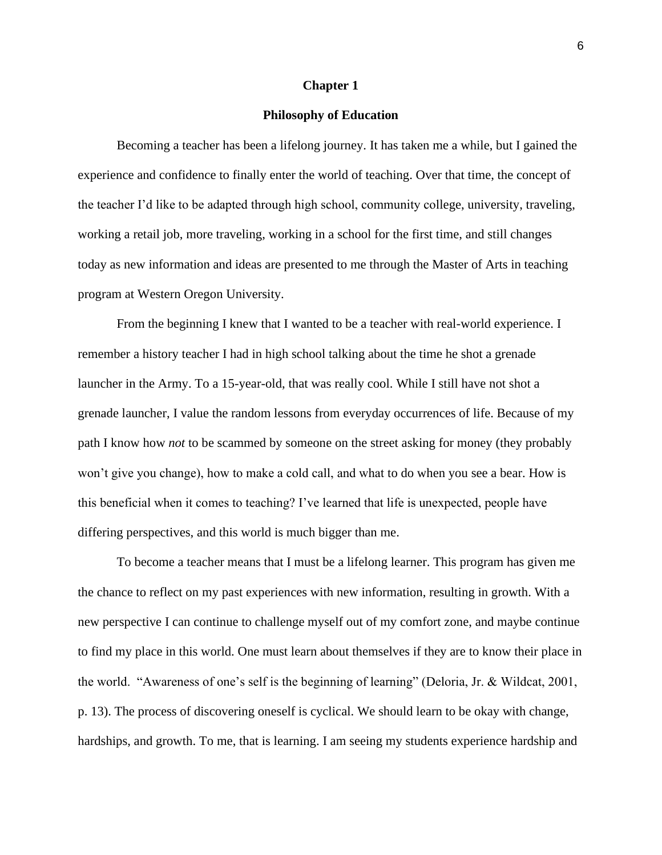## **Chapter 1**

#### **Philosophy of Education**

Becoming a teacher has been a lifelong journey. It has taken me a while, but I gained the experience and confidence to finally enter the world of teaching. Over that time, the concept of the teacher I'd like to be adapted through high school, community college, university, traveling, working a retail job, more traveling, working in a school for the first time, and still changes today as new information and ideas are presented to me through the Master of Arts in teaching program at Western Oregon University.

From the beginning I knew that I wanted to be a teacher with real-world experience. I remember a history teacher I had in high school talking about the time he shot a grenade launcher in the Army. To a 15-year-old, that was really cool. While I still have not shot a grenade launcher, I value the random lessons from everyday occurrences of life. Because of my path I know how *not* to be scammed by someone on the street asking for money (they probably won't give you change), how to make a cold call, and what to do when you see a bear. How is this beneficial when it comes to teaching? I've learned that life is unexpected, people have differing perspectives, and this world is much bigger than me.

To become a teacher means that I must be a lifelong learner. This program has given me the chance to reflect on my past experiences with new information, resulting in growth. With a new perspective I can continue to challenge myself out of my comfort zone, and maybe continue to find my place in this world. One must learn about themselves if they are to know their place in the world. "Awareness of one's self is the beginning of learning" (Deloria, Jr. & Wildcat, 2001, p. 13). The process of discovering oneself is cyclical. We should learn to be okay with change, hardships, and growth. To me, that is learning. I am seeing my students experience hardship and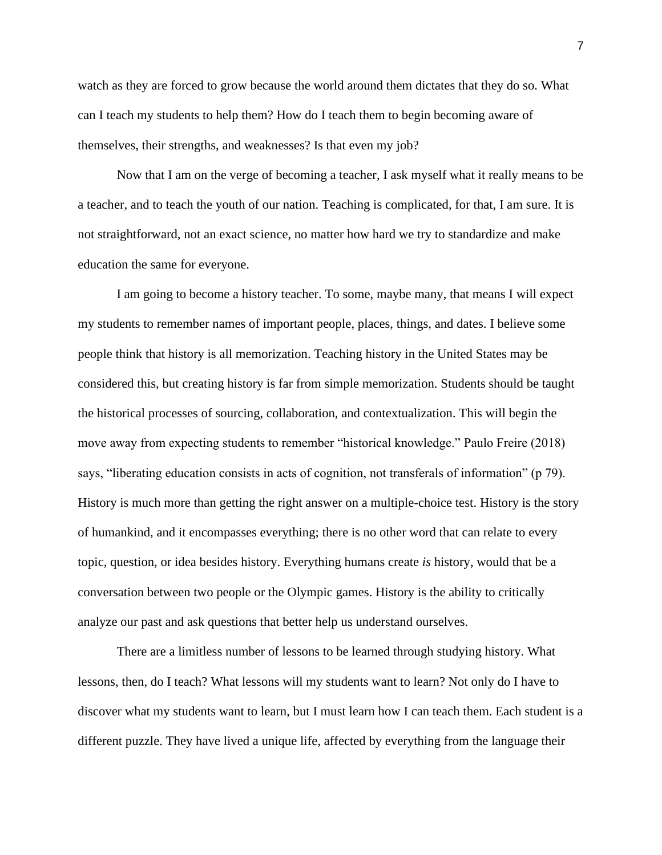watch as they are forced to grow because the world around them dictates that they do so. What can I teach my students to help them? How do I teach them to begin becoming aware of themselves, their strengths, and weaknesses? Is that even my job?

Now that I am on the verge of becoming a teacher, I ask myself what it really means to be a teacher, and to teach the youth of our nation. Teaching is complicated, for that, I am sure. It is not straightforward, not an exact science, no matter how hard we try to standardize and make education the same for everyone.

I am going to become a history teacher. To some, maybe many, that means I will expect my students to remember names of important people, places, things, and dates. I believe some people think that history is all memorization. Teaching history in the United States may be considered this, but creating history is far from simple memorization. Students should be taught the historical processes of sourcing, collaboration, and contextualization. This will begin the move away from expecting students to remember "historical knowledge." Paulo Freire (2018) says, "liberating education consists in acts of cognition, not transferals of information" (p 79). History is much more than getting the right answer on a multiple-choice test. History is the story of humankind, and it encompasses everything; there is no other word that can relate to every topic, question, or idea besides history. Everything humans create *is* history, would that be a conversation between two people or the Olympic games. History is the ability to critically analyze our past and ask questions that better help us understand ourselves.

There are a limitless number of lessons to be learned through studying history. What lessons, then, do I teach? What lessons will my students want to learn? Not only do I have to discover what my students want to learn, but I must learn how I can teach them. Each student is a different puzzle. They have lived a unique life, affected by everything from the language their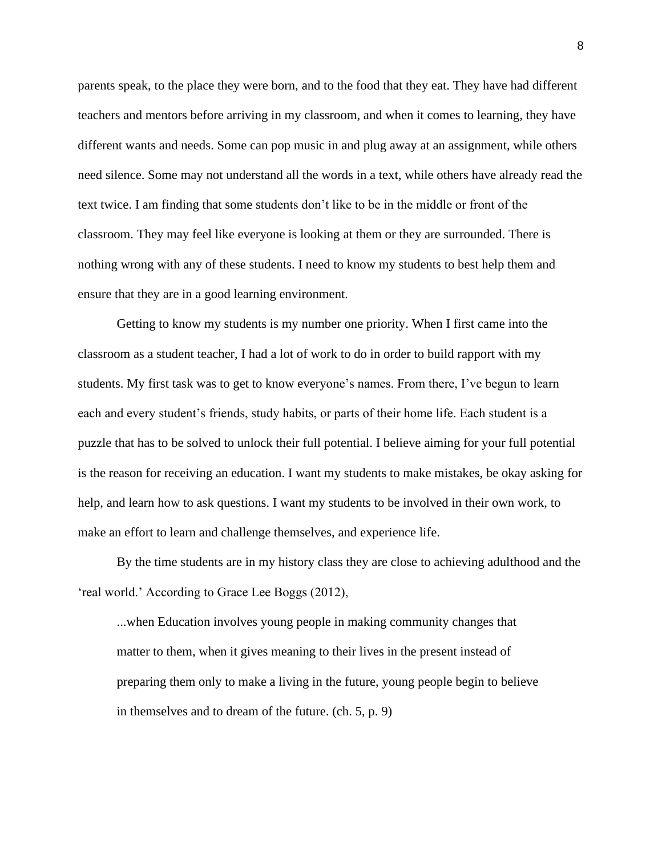parents speak, to the place they were born, and to the food that they eat. They have had different teachers and mentors before arriving in my classroom, and when it comes to learning, they have different wants and needs. Some can pop music in and plug away at an assignment, while others need silence. Some may not understand all the words in a text, while others have already read the text twice. I am finding that some students don't like to be in the middle or front of the classroom. They may feel like everyone is looking at them or they are surrounded. There is nothing wrong with any of these students. I need to know my students to best help them and ensure that they are in a good learning environment.

Getting to know my students is my number one priority. When I first came into the classroom as a student teacher, I had a lot of work to do in order to build rapport with my students. My first task was to get to know everyone's names. From there, I've begun to learn each and every student's friends, study habits, or parts of their home life. Each student is a puzzle that has to be solved to unlock their full potential. I believe aiming for your full potential is the reason for receiving an education. I want my students to make mistakes, be okay asking for help, and learn how to ask questions. I want my students to be involved in their own work, to make an effort to learn and challenge themselves, and experience life.

By the time students are in my history class they are close to achieving adulthood and the 'real world.' According to Grace Lee Boggs (2012),

...when Education involves young people in making community changes that matter to them, when it gives meaning to their lives in the present instead of preparing them only to make a living in the future, young people begin to believe in themselves and to dream of the future. (ch. 5, p. 9)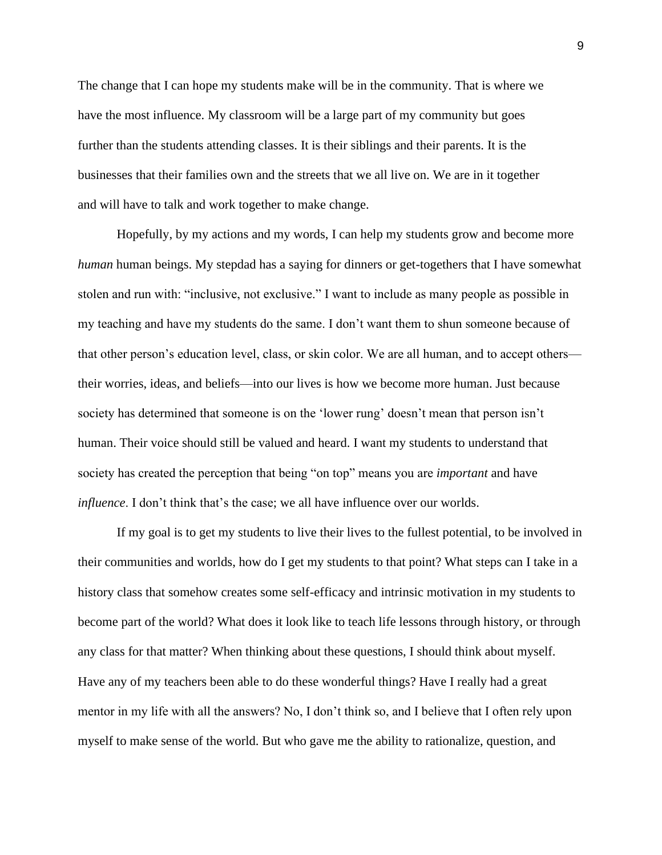The change that I can hope my students make will be in the community. That is where we have the most influence. My classroom will be a large part of my community but goes further than the students attending classes. It is their siblings and their parents. It is the businesses that their families own and the streets that we all live on. We are in it together and will have to talk and work together to make change.

Hopefully, by my actions and my words, I can help my students grow and become more *human* human beings. My stepdad has a saying for dinners or get-togethers that I have somewhat stolen and run with: "inclusive, not exclusive." I want to include as many people as possible in my teaching and have my students do the same. I don't want them to shun someone because of that other person's education level, class, or skin color. We are all human, and to accept others their worries, ideas, and beliefs—into our lives is how we become more human. Just because society has determined that someone is on the 'lower rung' doesn't mean that person isn't human. Their voice should still be valued and heard. I want my students to understand that society has created the perception that being "on top" means you are *important* and have *influence*. I don't think that's the case; we all have influence over our worlds.

If my goal is to get my students to live their lives to the fullest potential, to be involved in their communities and worlds, how do I get my students to that point? What steps can I take in a history class that somehow creates some self-efficacy and intrinsic motivation in my students to become part of the world? What does it look like to teach life lessons through history, or through any class for that matter? When thinking about these questions, I should think about myself. Have any of my teachers been able to do these wonderful things? Have I really had a great mentor in my life with all the answers? No, I don't think so, and I believe that I often rely upon myself to make sense of the world. But who gave me the ability to rationalize, question, and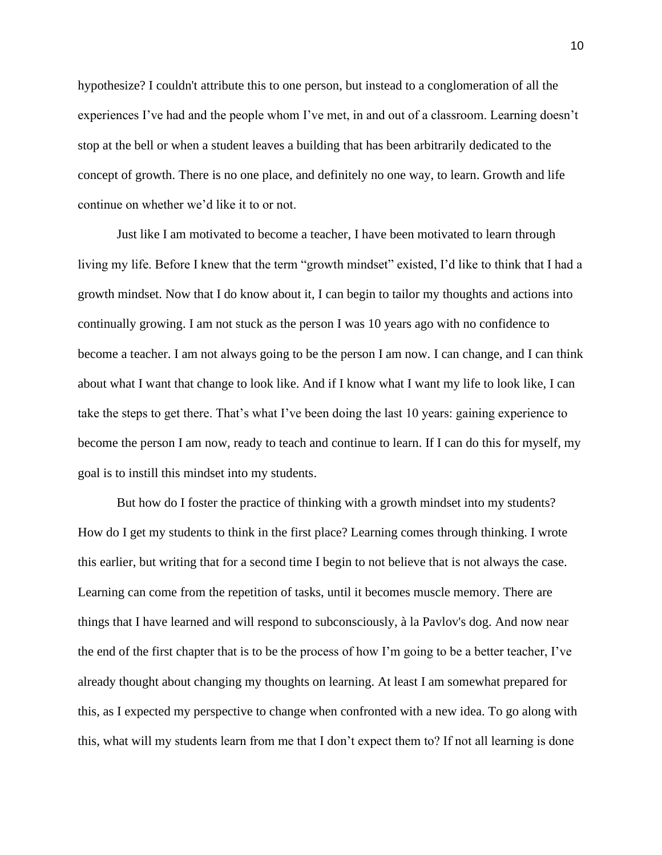hypothesize? I couldn't attribute this to one person, but instead to a conglomeration of all the experiences I've had and the people whom I've met, in and out of a classroom. Learning doesn't stop at the bell or when a student leaves a building that has been arbitrarily dedicated to the concept of growth. There is no one place, and definitely no one way, to learn. Growth and life continue on whether we'd like it to or not.

Just like I am motivated to become a teacher, I have been motivated to learn through living my life. Before I knew that the term "growth mindset" existed, I'd like to think that I had a growth mindset. Now that I do know about it, I can begin to tailor my thoughts and actions into continually growing. I am not stuck as the person I was 10 years ago with no confidence to become a teacher. I am not always going to be the person I am now. I can change, and I can think about what I want that change to look like. And if I know what I want my life to look like, I can take the steps to get there. That's what I've been doing the last 10 years: gaining experience to become the person I am now, ready to teach and continue to learn. If I can do this for myself, my goal is to instill this mindset into my students.

But how do I foster the practice of thinking with a growth mindset into my students? How do I get my students to think in the first place? Learning comes through thinking. I wrote this earlier, but writing that for a second time I begin to not believe that is not always the case. Learning can come from the repetition of tasks, until it becomes muscle memory. There are things that I have learned and will respond to subconsciously, à la Pavlov's dog. And now near the end of the first chapter that is to be the process of how I'm going to be a better teacher, I've already thought about changing my thoughts on learning. At least I am somewhat prepared for this, as I expected my perspective to change when confronted with a new idea. To go along with this, what will my students learn from me that I don't expect them to? If not all learning is done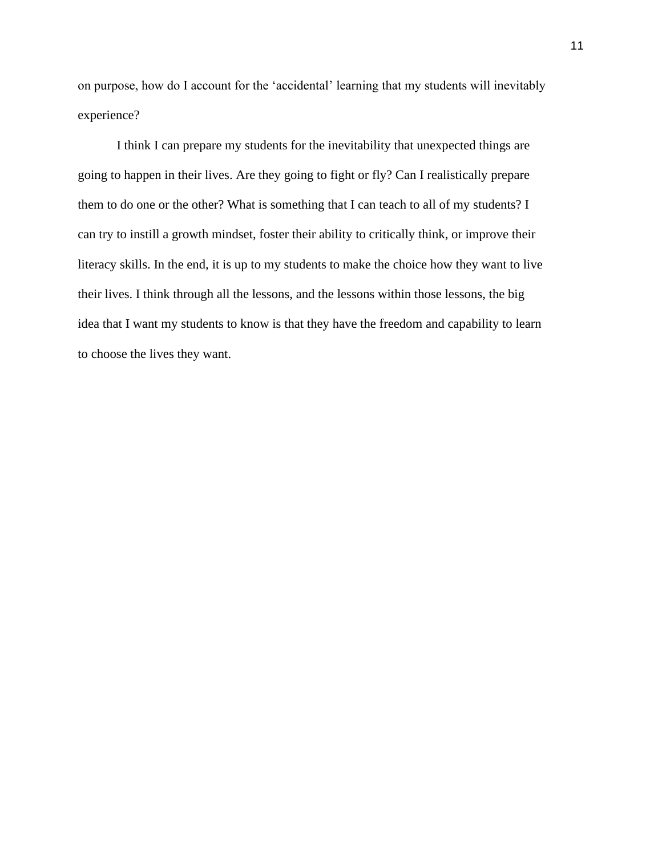on purpose, how do I account for the 'accidental' learning that my students will inevitably experience?

I think I can prepare my students for the inevitability that unexpected things are going to happen in their lives. Are they going to fight or fly? Can I realistically prepare them to do one or the other? What is something that I can teach to all of my students? I can try to instill a growth mindset, foster their ability to critically think, or improve their literacy skills. In the end, it is up to my students to make the choice how they want to live their lives. I think through all the lessons, and the lessons within those lessons, the big idea that I want my students to know is that they have the freedom and capability to learn to choose the lives they want.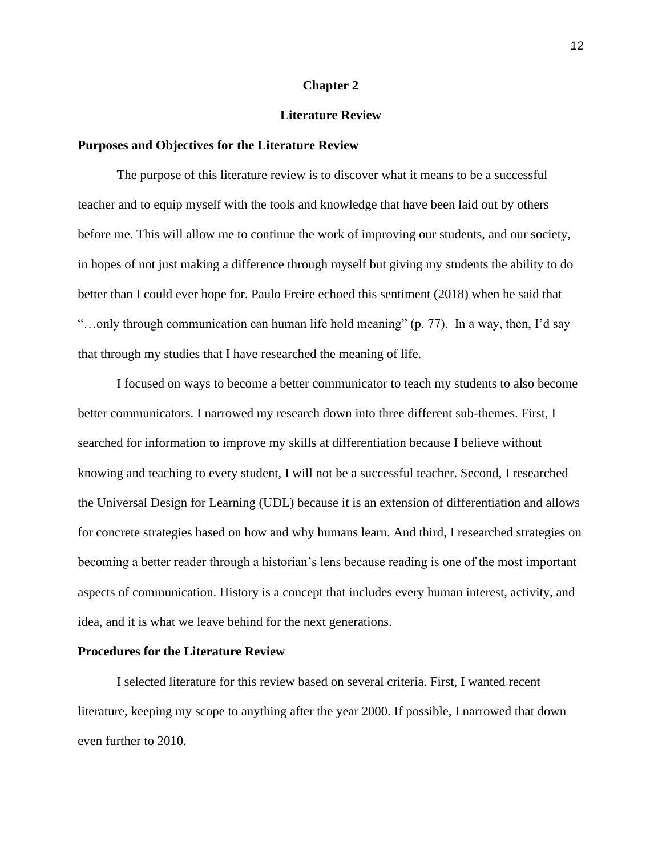#### **Chapter 2**

#### **Literature Review**

#### **Purposes and Objectives for the Literature Review**

The purpose of this literature review is to discover what it means to be a successful teacher and to equip myself with the tools and knowledge that have been laid out by others before me. This will allow me to continue the work of improving our students, and our society, in hopes of not just making a difference through myself but giving my students the ability to do better than I could ever hope for. Paulo Freire echoed this sentiment (2018) when he said that "...only through communication can human life hold meaning" (p. 77). In a way, then, I'd say that through my studies that I have researched the meaning of life.

I focused on ways to become a better communicator to teach my students to also become better communicators. I narrowed my research down into three different sub-themes. First, I searched for information to improve my skills at differentiation because I believe without knowing and teaching to every student, I will not be a successful teacher. Second, I researched the Universal Design for Learning (UDL) because it is an extension of differentiation and allows for concrete strategies based on how and why humans learn. And third, I researched strategies on becoming a better reader through a historian's lens because reading is one of the most important aspects of communication. History is a concept that includes every human interest, activity, and idea, and it is what we leave behind for the next generations.

#### **Procedures for the Literature Review**

 I selected literature for this review based on several criteria. First, I wanted recent literature, keeping my scope to anything after the year 2000. If possible, I narrowed that down even further to 2010.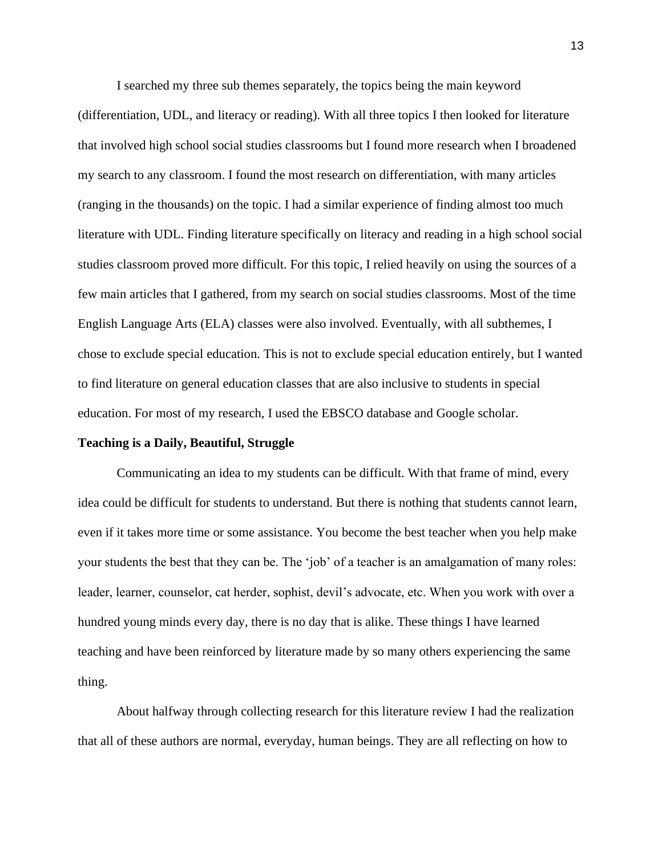I searched my three sub themes separately, the topics being the main keyword (differentiation, UDL, and literacy or reading). With all three topics I then looked for literature that involved high school social studies classrooms but I found more research when I broadened my search to any classroom. I found the most research on differentiation, with many articles (ranging in the thousands) on the topic. I had a similar experience of finding almost too much literature with UDL. Finding literature specifically on literacy and reading in a high school social studies classroom proved more difficult. For this topic, I relied heavily on using the sources of a few main articles that I gathered, from my search on social studies classrooms. Most of the time English Language Arts (ELA) classes were also involved. Eventually, with all subthemes, I chose to exclude special education. This is not to exclude special education entirely, but I wanted to find literature on general education classes that are also inclusive to students in special education. For most of my research, I used the EBSCO database and Google scholar.

#### **Teaching is a Daily, Beautiful, Struggle**

 Communicating an idea to my students can be difficult. With that frame of mind, every idea could be difficult for students to understand. But there is nothing that students cannot learn, even if it takes more time or some assistance. You become the best teacher when you help make your students the best that they can be. The 'job' of a teacher is an amalgamation of many roles: leader, learner, counselor, cat herder, sophist, devil's advocate, etc. When you work with over a hundred young minds every day, there is no day that is alike. These things I have learned teaching and have been reinforced by literature made by so many others experiencing the same thing.

About halfway through collecting research for this literature review I had the realization that all of these authors are normal, everyday, human beings. They are all reflecting on how to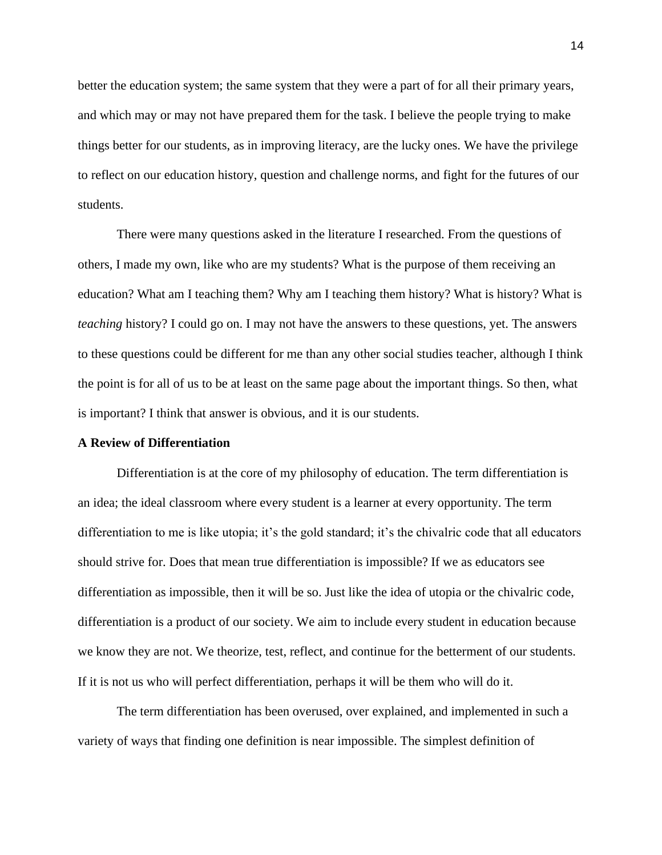better the education system; the same system that they were a part of for all their primary years, and which may or may not have prepared them for the task. I believe the people trying to make things better for our students, as in improving literacy, are the lucky ones. We have the privilege to reflect on our education history, question and challenge norms, and fight for the futures of our students.

There were many questions asked in the literature I researched. From the questions of others, I made my own, like who are my students? What is the purpose of them receiving an education? What am I teaching them? Why am I teaching them history? What is history? What is *teaching* history? I could go on. I may not have the answers to these questions, yet. The answers to these questions could be different for me than any other social studies teacher, although I think the point is for all of us to be at least on the same page about the important things. So then, what is important? I think that answer is obvious, and it is our students.

#### **A Review of Differentiation**

Differentiation is at the core of my philosophy of education. The term differentiation is an idea; the ideal classroom where every student is a learner at every opportunity. The term differentiation to me is like utopia; it's the gold standard; it's the chivalric code that all educators should strive for. Does that mean true differentiation is impossible? If we as educators see differentiation as impossible, then it will be so. Just like the idea of utopia or the chivalric code, differentiation is a product of our society. We aim to include every student in education because we know they are not. We theorize, test, reflect, and continue for the betterment of our students. If it is not us who will perfect differentiation, perhaps it will be them who will do it.

 The term differentiation has been overused, over explained, and implemented in such a variety of ways that finding one definition is near impossible. The simplest definition of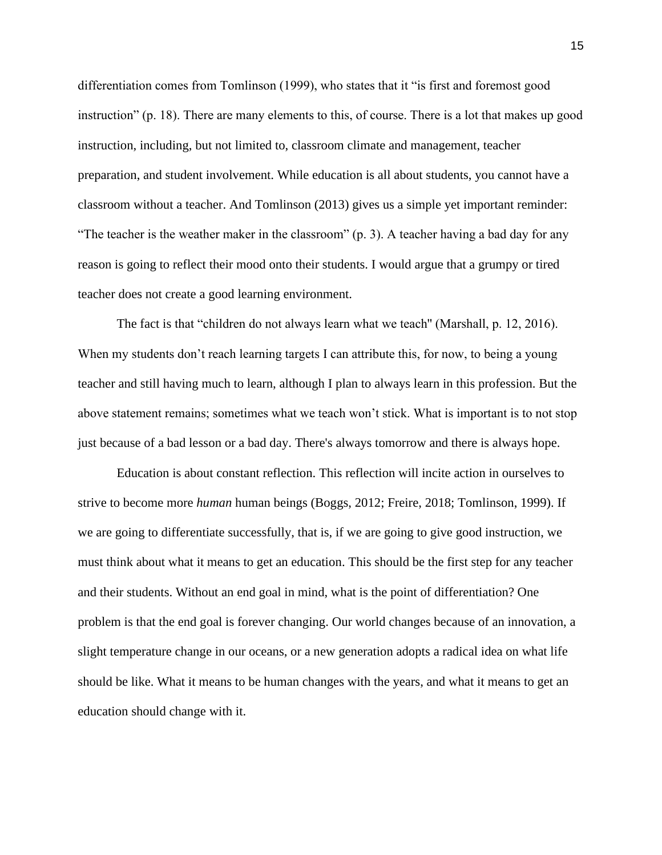differentiation comes from Tomlinson (1999), who states that it "is first and foremost good instruction" (p. 18). There are many elements to this, of course. There is a lot that makes up good instruction, including, but not limited to, classroom climate and management, teacher preparation, and student involvement. While education is all about students, you cannot have a classroom without a teacher. And Tomlinson (2013) gives us a simple yet important reminder: "The teacher is the weather maker in the classroom" (p. 3). A teacher having a bad day for any reason is going to reflect their mood onto their students. I would argue that a grumpy or tired teacher does not create a good learning environment.

The fact is that "children do not always learn what we teach'' (Marshall, p. 12, 2016). When my students don't reach learning targets I can attribute this, for now, to being a young teacher and still having much to learn, although I plan to always learn in this profession. But the above statement remains; sometimes what we teach won't stick. What is important is to not stop just because of a bad lesson or a bad day. There's always tomorrow and there is always hope.

 Education is about constant reflection. This reflection will incite action in ourselves to strive to become more *human* human beings (Boggs, 2012; Freire, 2018; Tomlinson, 1999). If we are going to differentiate successfully, that is, if we are going to give good instruction, we must think about what it means to get an education. This should be the first step for any teacher and their students. Without an end goal in mind, what is the point of differentiation? One problem is that the end goal is forever changing. Our world changes because of an innovation, a slight temperature change in our oceans, or a new generation adopts a radical idea on what life should be like. What it means to be human changes with the years, and what it means to get an education should change with it.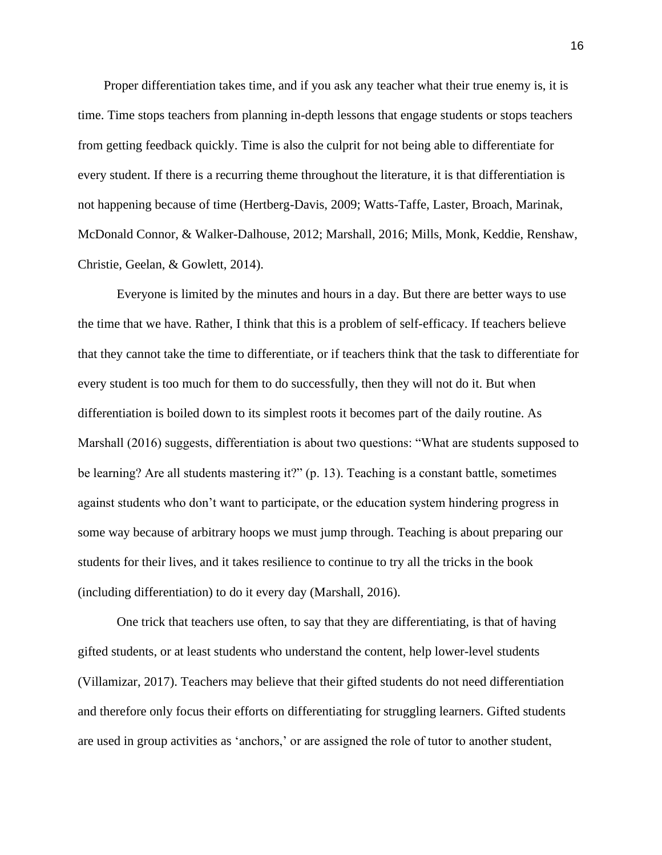Proper differentiation takes time, and if you ask any teacher what their true enemy is, it is time. Time stops teachers from planning in-depth lessons that engage students or stops teachers from getting feedback quickly. Time is also the culprit for not being able to differentiate for every student. If there is a recurring theme throughout the literature, it is that differentiation is not happening because of time (Hertberg-Davis, 2009; Watts-Taffe, Laster, Broach, Marinak, McDonald Connor, & Walker-Dalhouse, 2012; Marshall, 2016; Mills, Monk, Keddie, Renshaw, Christie, Geelan, & Gowlett, 2014).

Everyone is limited by the minutes and hours in a day. But there are better ways to use the time that we have. Rather, I think that this is a problem of self-efficacy. If teachers believe that they cannot take the time to differentiate, or if teachers think that the task to differentiate for every student is too much for them to do successfully, then they will not do it. But when differentiation is boiled down to its simplest roots it becomes part of the daily routine. As Marshall (2016) suggests, differentiation is about two questions: "What are students supposed to be learning? Are all students mastering it?" (p. 13). Teaching is a constant battle, sometimes against students who don't want to participate, or the education system hindering progress in some way because of arbitrary hoops we must jump through. Teaching is about preparing our students for their lives, and it takes resilience to continue to try all the tricks in the book (including differentiation) to do it every day (Marshall, 2016).

 One trick that teachers use often, to say that they are differentiating, is that of having gifted students, or at least students who understand the content, help lower-level students (Villamizar, 2017). Teachers may believe that their gifted students do not need differentiation and therefore only focus their efforts on differentiating for struggling learners. Gifted students are used in group activities as 'anchors,' or are assigned the role of tutor to another student,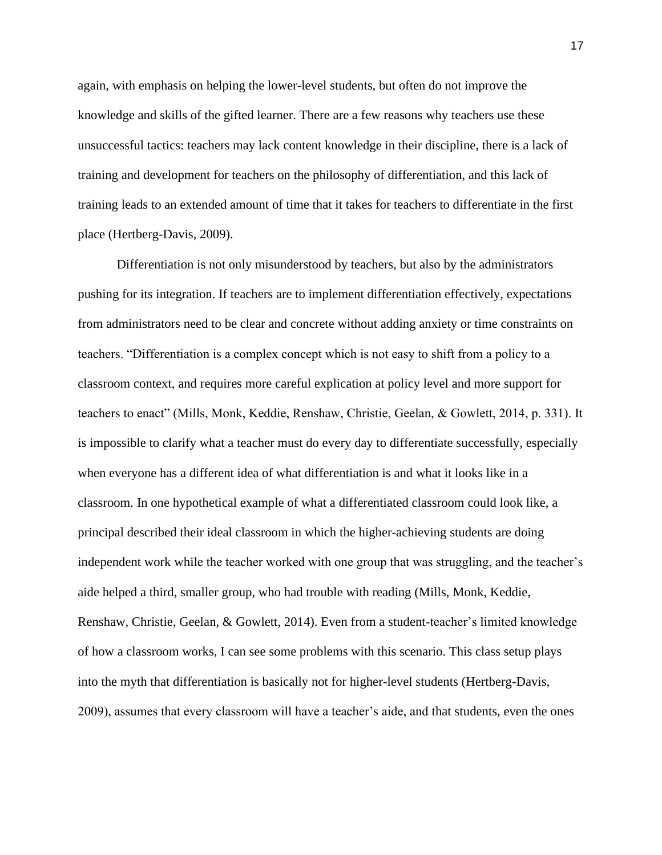again, with emphasis on helping the lower-level students, but often do not improve the knowledge and skills of the gifted learner. There are a few reasons why teachers use these unsuccessful tactics: teachers may lack content knowledge in their discipline, there is a lack of training and development for teachers on the philosophy of differentiation, and this lack of training leads to an extended amount of time that it takes for teachers to differentiate in the first place (Hertberg-Davis, 2009).

 Differentiation is not only misunderstood by teachers, but also by the administrators pushing for its integration. If teachers are to implement differentiation effectively, expectations from administrators need to be clear and concrete without adding anxiety or time constraints on teachers. "Differentiation is a complex concept which is not easy to shift from a policy to a classroom context, and requires more careful explication at policy level and more support for teachers to enact" (Mills, Monk, Keddie, Renshaw, Christie, Geelan, & Gowlett, 2014, p. 331). It is impossible to clarify what a teacher must do every day to differentiate successfully, especially when everyone has a different idea of what differentiation is and what it looks like in a classroom. In one hypothetical example of what a differentiated classroom could look like, a principal described their ideal classroom in which the higher-achieving students are doing independent work while the teacher worked with one group that was struggling, and the teacher's aide helped a third, smaller group, who had trouble with reading (Mills, Monk, Keddie, Renshaw, Christie, Geelan, & Gowlett, 2014). Even from a student-teacher's limited knowledge of how a classroom works, I can see some problems with this scenario. This class setup plays into the myth that differentiation is basically not for higher-level students (Hertberg-Davis, 2009), assumes that every classroom will have a teacher's aide, and that students, even the ones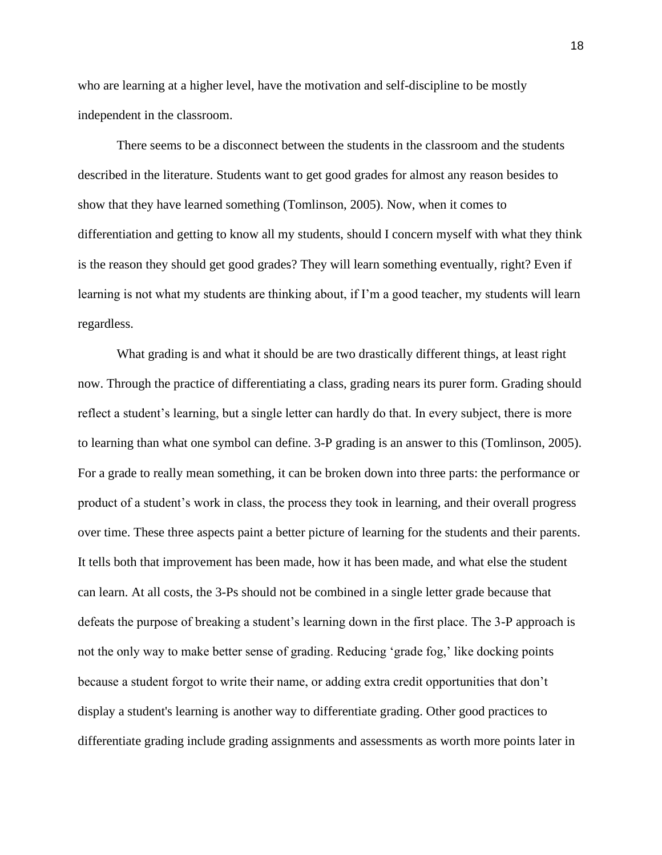who are learning at a higher level, have the motivation and self-discipline to be mostly independent in the classroom.

 There seems to be a disconnect between the students in the classroom and the students described in the literature. Students want to get good grades for almost any reason besides to show that they have learned something (Tomlinson, 2005). Now, when it comes to differentiation and getting to know all my students, should I concern myself with what they think is the reason they should get good grades? They will learn something eventually, right? Even if learning is not what my students are thinking about, if I'm a good teacher, my students will learn regardless.

 What grading is and what it should be are two drastically different things, at least right now. Through the practice of differentiating a class, grading nears its purer form. Grading should reflect a student's learning, but a single letter can hardly do that. In every subject, there is more to learning than what one symbol can define. 3-P grading is an answer to this (Tomlinson, 2005). For a grade to really mean something, it can be broken down into three parts: the performance or product of a student's work in class, the process they took in learning, and their overall progress over time. These three aspects paint a better picture of learning for the students and their parents. It tells both that improvement has been made, how it has been made, and what else the student can learn. At all costs, the 3-Ps should not be combined in a single letter grade because that defeats the purpose of breaking a student's learning down in the first place. The 3-P approach is not the only way to make better sense of grading. Reducing 'grade fog,' like docking points because a student forgot to write their name, or adding extra credit opportunities that don't display a student's learning is another way to differentiate grading. Other good practices to differentiate grading include grading assignments and assessments as worth more points later in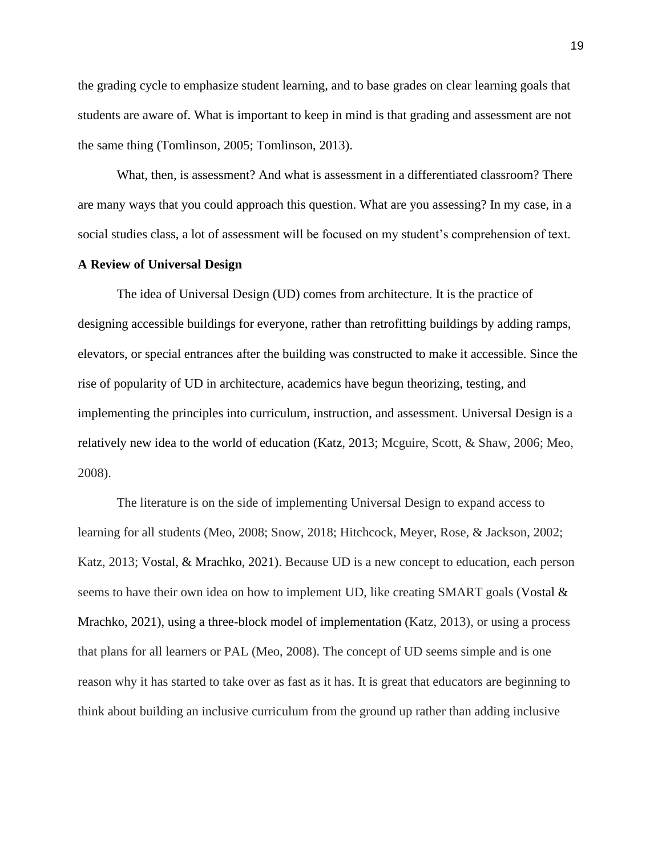the grading cycle to emphasize student learning, and to base grades on clear learning goals that students are aware of. What is important to keep in mind is that grading and assessment are not the same thing (Tomlinson, 2005; Tomlinson, 2013).

 What, then, is assessment? And what is assessment in a differentiated classroom? There are many ways that you could approach this question. What are you assessing? In my case, in a social studies class, a lot of assessment will be focused on my student's comprehension of text.

#### **A Review of Universal Design**

The idea of Universal Design (UD) comes from architecture. It is the practice of designing accessible buildings for everyone, rather than retrofitting buildings by adding ramps, elevators, or special entrances after the building was constructed to make it accessible. Since the rise of popularity of UD in architecture, academics have begun theorizing, testing, and implementing the principles into curriculum, instruction, and assessment. Universal Design is a relatively new idea to the world of education (Katz, 2013; Mcguire, Scott, & Shaw, 2006; Meo, 2008).

 The literature is on the side of implementing Universal Design to expand access to learning for all students (Meo, 2008; Snow, 2018; Hitchcock, Meyer, Rose, & Jackson, 2002; Katz, 2013; Vostal, & Mrachko, 2021). Because UD is a new concept to education, each person seems to have their own idea on how to implement UD, like creating SMART goals (Vostal  $\&$ Mrachko, 2021), using a three-block model of implementation (Katz, 2013), or using a process that plans for all learners or PAL (Meo, 2008). The concept of UD seems simple and is one reason why it has started to take over as fast as it has. It is great that educators are beginning to think about building an inclusive curriculum from the ground up rather than adding inclusive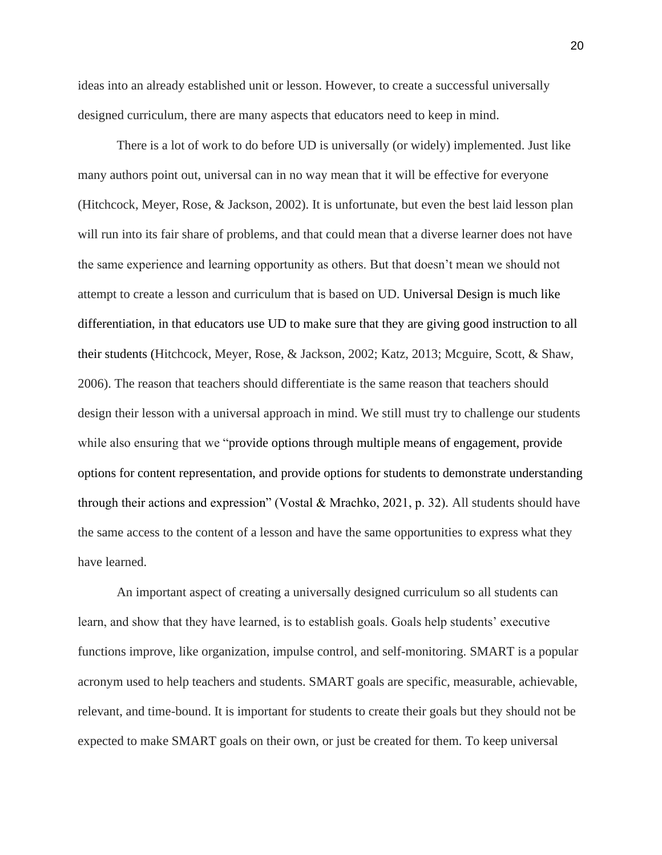ideas into an already established unit or lesson. However, to create a successful universally designed curriculum, there are many aspects that educators need to keep in mind.

There is a lot of work to do before UD is universally (or widely) implemented. Just like many authors point out, universal can in no way mean that it will be effective for everyone (Hitchcock, Meyer, Rose, & Jackson, 2002). It is unfortunate, but even the best laid lesson plan will run into its fair share of problems, and that could mean that a diverse learner does not have the same experience and learning opportunity as others. But that doesn't mean we should not attempt to create a lesson and curriculum that is based on UD. Universal Design is much like differentiation, in that educators use UD to make sure that they are giving good instruction to all their students (Hitchcock, Meyer, Rose, & Jackson, 2002; Katz, 2013; Mcguire, Scott, & Shaw, 2006). The reason that teachers should differentiate is the same reason that teachers should design their lesson with a universal approach in mind. We still must try to challenge our students while also ensuring that we "provide options through multiple means of engagement, provide options for content representation, and provide options for students to demonstrate understanding through their actions and expression" (Vostal & Mrachko, 2021, p. 32). All students should have the same access to the content of a lesson and have the same opportunities to express what they have learned.

An important aspect of creating a universally designed curriculum so all students can learn, and show that they have learned, is to establish goals. Goals help students' executive functions improve, like organization, impulse control, and self-monitoring. SMART is a popular acronym used to help teachers and students. SMART goals are specific, measurable, achievable, relevant, and time-bound. It is important for students to create their goals but they should not be expected to make SMART goals on their own, or just be created for them. To keep universal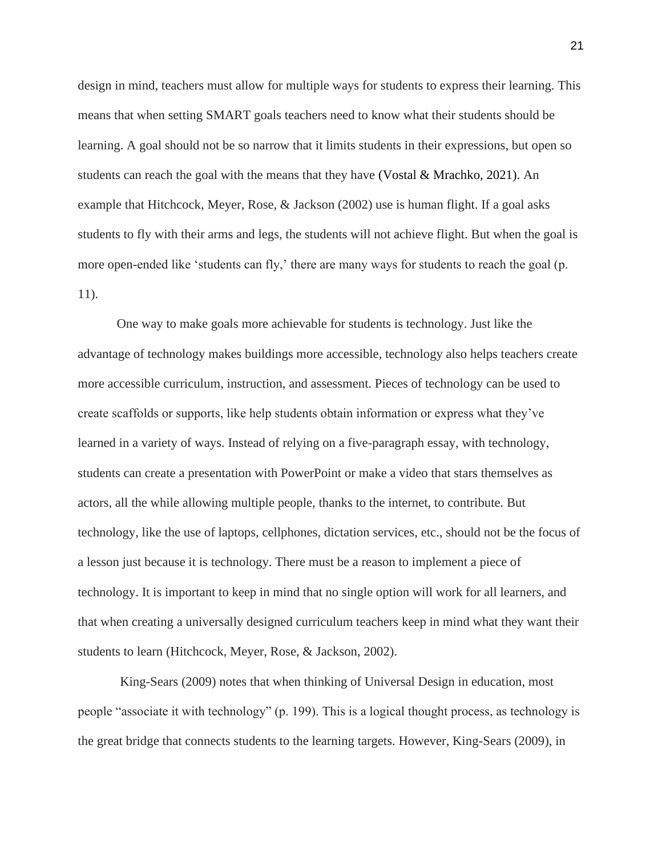design in mind, teachers must allow for multiple ways for students to express their learning. This means that when setting SMART goals teachers need to know what their students should be learning. A goal should not be so narrow that it limits students in their expressions, but open so students can reach the goal with the means that they have (Vostal & Mrachko, 2021). An example that Hitchcock, Meyer, Rose, & Jackson (2002) use is human flight. If a goal asks students to fly with their arms and legs, the students will not achieve flight. But when the goal is more open-ended like 'students can fly,' there are many ways for students to reach the goal (p. 11).

One way to make goals more achievable for students is technology. Just like the advantage of technology makes buildings more accessible, technology also helps teachers create more accessible curriculum, instruction, and assessment. Pieces of technology can be used to create scaffolds or supports, like help students obtain information or express what they've learned in a variety of ways. Instead of relying on a five-paragraph essay, with technology, students can create a presentation with PowerPoint or make a video that stars themselves as actors, all the while allowing multiple people, thanks to the internet, to contribute. But technology, like the use of laptops, cellphones, dictation services, etc., should not be the focus of a lesson just because it is technology. There must be a reason to implement a piece of technology. It is important to keep in mind that no single option will work for all learners, and that when creating a universally designed curriculum teachers keep in mind what they want their students to learn (Hitchcock, Meyer, Rose, & Jackson, 2002).

 King-Sears (2009) notes that when thinking of Universal Design in education, most people "associate it with technology" (p. 199). This is a logical thought process, as technology is the great bridge that connects students to the learning targets. However, King-Sears (2009), in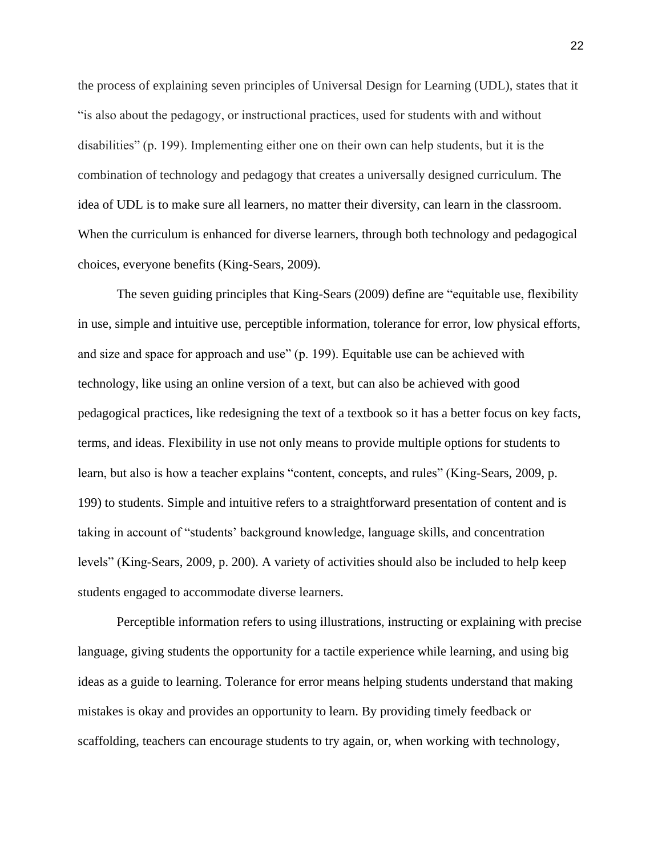the process of explaining seven principles of Universal Design for Learning (UDL), states that it "is also about the pedagogy, or instructional practices, used for students with and without disabilities" (p. 199). Implementing either one on their own can help students, but it is the combination of technology and pedagogy that creates a universally designed curriculum. The idea of UDL is to make sure all learners, no matter their diversity, can learn in the classroom. When the curriculum is enhanced for diverse learners, through both technology and pedagogical choices, everyone benefits (King-Sears, 2009).

 The seven guiding principles that King-Sears (2009) define are "equitable use, flexibility in use, simple and intuitive use, perceptible information, tolerance for error, low physical efforts, and size and space for approach and use" (p. 199). Equitable use can be achieved with technology, like using an online version of a text, but can also be achieved with good pedagogical practices, like redesigning the text of a textbook so it has a better focus on key facts, terms, and ideas. Flexibility in use not only means to provide multiple options for students to learn, but also is how a teacher explains "content, concepts, and rules" (King-Sears, 2009, p. 199) to students. Simple and intuitive refers to a straightforward presentation of content and is taking in account of "students' background knowledge, language skills, and concentration levels" (King-Sears, 2009, p. 200). A variety of activities should also be included to help keep students engaged to accommodate diverse learners.

Perceptible information refers to using illustrations, instructing or explaining with precise language, giving students the opportunity for a tactile experience while learning, and using big ideas as a guide to learning. Tolerance for error means helping students understand that making mistakes is okay and provides an opportunity to learn. By providing timely feedback or scaffolding, teachers can encourage students to try again, or, when working with technology,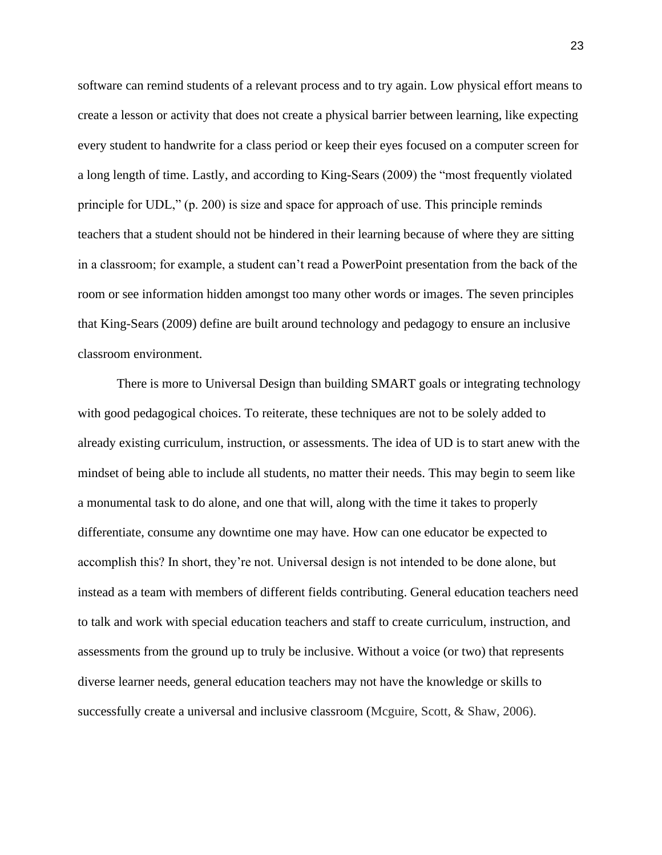software can remind students of a relevant process and to try again. Low physical effort means to create a lesson or activity that does not create a physical barrier between learning, like expecting every student to handwrite for a class period or keep their eyes focused on a computer screen for a long length of time. Lastly, and according to King-Sears (2009) the "most frequently violated principle for UDL," (p. 200) is size and space for approach of use. This principle reminds teachers that a student should not be hindered in their learning because of where they are sitting in a classroom; for example, a student can't read a PowerPoint presentation from the back of the room or see information hidden amongst too many other words or images. The seven principles that King-Sears (2009) define are built around technology and pedagogy to ensure an inclusive classroom environment.

 There is more to Universal Design than building SMART goals or integrating technology with good pedagogical choices. To reiterate, these techniques are not to be solely added to already existing curriculum, instruction, or assessments. The idea of UD is to start anew with the mindset of being able to include all students, no matter their needs. This may begin to seem like a monumental task to do alone, and one that will, along with the time it takes to properly differentiate, consume any downtime one may have. How can one educator be expected to accomplish this? In short, they're not. Universal design is not intended to be done alone, but instead as a team with members of different fields contributing. General education teachers need to talk and work with special education teachers and staff to create curriculum, instruction, and assessments from the ground up to truly be inclusive. Without a voice (or two) that represents diverse learner needs, general education teachers may not have the knowledge or skills to successfully create a universal and inclusive classroom (Mcguire, Scott, & Shaw, 2006).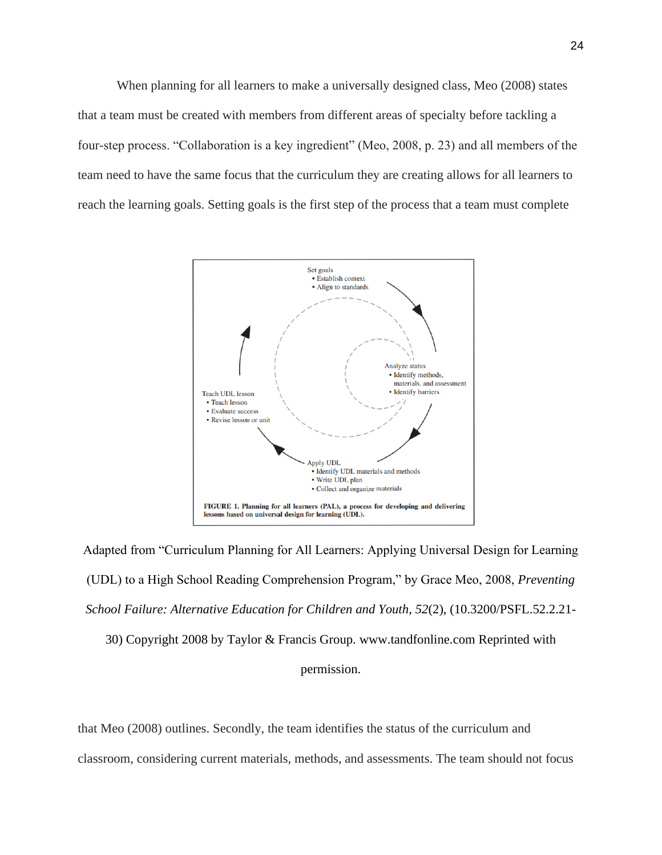When planning for all learners to make a universally designed class, Meo (2008) states that a team must be created with members from different areas of specialty before tackling a four-step process. "Collaboration is a key ingredient" (Meo, 2008, p. 23) and all members of the team need to have the same focus that the curriculum they are creating allows for all learners to reach the learning goals. Setting goals is the first step of the process that a team must complete



Adapted from "Curriculum Planning for All Learners: Applying Universal Design for Learning (UDL) to a High School Reading Comprehension Program," by Grace Meo, 2008, *Preventing School Failure: Alternative Education for Children and Youth*, *52*(2), (10.3200/PSFL.52.2.21-

30) Copyright 2008 by Taylor & Francis Group. www.tandfonline.com Reprinted with

#### permission.

that Meo (2008) outlines. Secondly, the team identifies the status of the curriculum and classroom, considering current materials, methods, and assessments. The team should not focus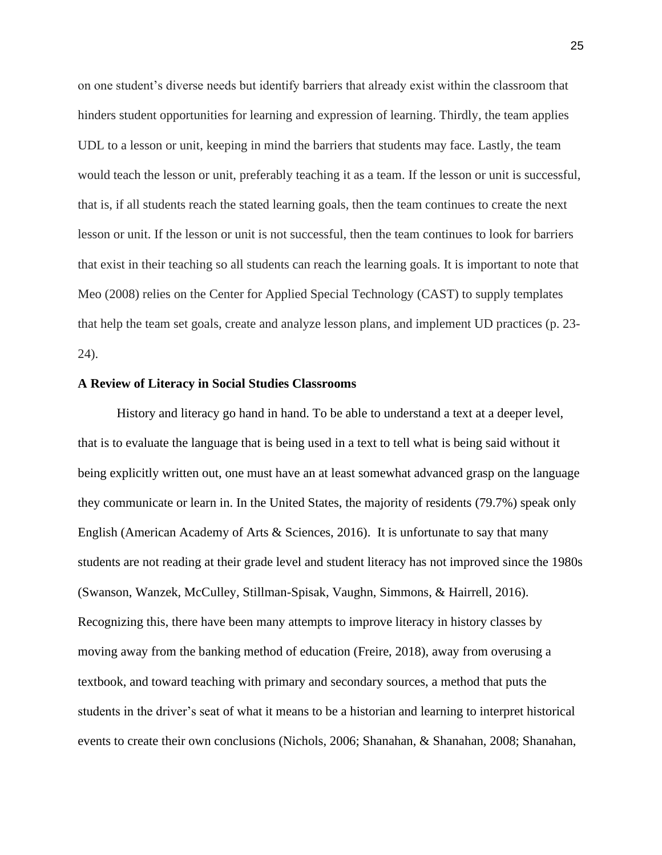on one student's diverse needs but identify barriers that already exist within the classroom that hinders student opportunities for learning and expression of learning. Thirdly, the team applies UDL to a lesson or unit, keeping in mind the barriers that students may face. Lastly, the team would teach the lesson or unit, preferably teaching it as a team. If the lesson or unit is successful, that is, if all students reach the stated learning goals, then the team continues to create the next lesson or unit. If the lesson or unit is not successful, then the team continues to look for barriers that exist in their teaching so all students can reach the learning goals. It is important to note that Meo (2008) relies on the Center for Applied Special Technology (CAST) to supply templates that help the team set goals, create and analyze lesson plans, and implement UD practices (p. 23- 24).

#### **A Review of Literacy in Social Studies Classrooms**

 History and literacy go hand in hand. To be able to understand a text at a deeper level, that is to evaluate the language that is being used in a text to tell what is being said without it being explicitly written out, one must have an at least somewhat advanced grasp on the language they communicate or learn in. In the United States, the majority of residents (79.7%) speak only English (American Academy of Arts & Sciences, 2016). It is unfortunate to say that many students are not reading at their grade level and student literacy has not improved since the 1980s (Swanson, Wanzek, McCulley, Stillman-Spisak, Vaughn, Simmons, & Hairrell, 2016). Recognizing this, there have been many attempts to improve literacy in history classes by moving away from the banking method of education (Freire, 2018), away from overusing a textbook, and toward teaching with primary and secondary sources, a method that puts the students in the driver's seat of what it means to be a historian and learning to interpret historical events to create their own conclusions (Nichols, 2006; Shanahan, & Shanahan, 2008; Shanahan,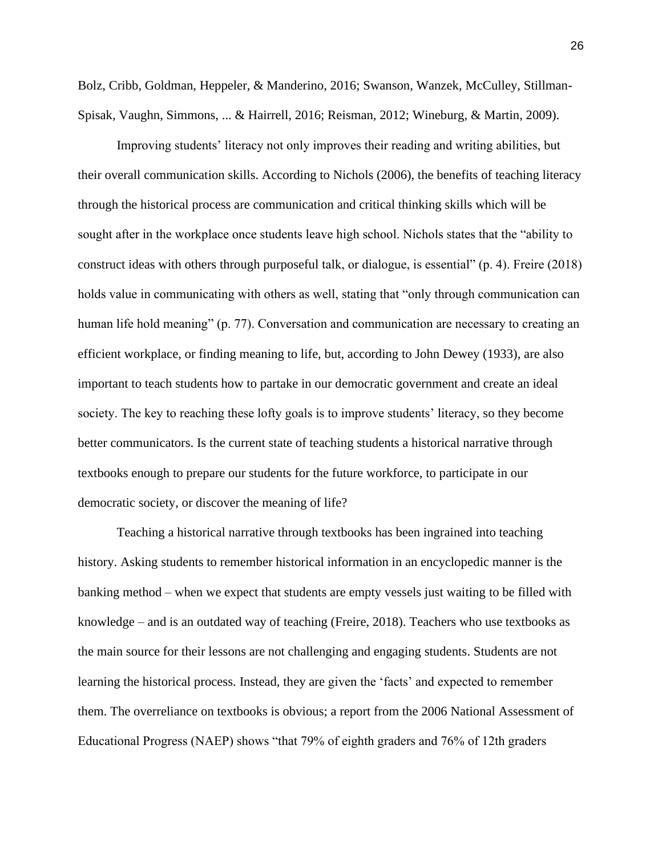Bolz, Cribb, Goldman, Heppeler, & Manderino, 2016; Swanson, Wanzek, McCulley, Stillman-Spisak, Vaughn, Simmons, ... & Hairrell, 2016; Reisman, 2012; Wineburg, & Martin, 2009).

Improving students' literacy not only improves their reading and writing abilities, but their overall communication skills. According to Nichols (2006), the benefits of teaching literacy through the historical process are communication and critical thinking skills which will be sought after in the workplace once students leave high school. Nichols states that the "ability to construct ideas with others through purposeful talk, or dialogue, is essential" (p. 4). Freire (2018) holds value in communicating with others as well, stating that "only through communication can human life hold meaning" (p. 77). Conversation and communication are necessary to creating an efficient workplace, or finding meaning to life, but, according to John Dewey (1933), are also important to teach students how to partake in our democratic government and create an ideal society. The key to reaching these lofty goals is to improve students' literacy, so they become better communicators. Is the current state of teaching students a historical narrative through textbooks enough to prepare our students for the future workforce, to participate in our democratic society, or discover the meaning of life?

Teaching a historical narrative through textbooks has been ingrained into teaching history. Asking students to remember historical information in an encyclopedic manner is the banking method – when we expect that students are empty vessels just waiting to be filled with knowledge – and is an outdated way of teaching (Freire, 2018). Teachers who use textbooks as the main source for their lessons are not challenging and engaging students. Students are not learning the historical process. Instead, they are given the 'facts' and expected to remember them. The overreliance on textbooks is obvious; a report from the 2006 National Assessment of Educational Progress (NAEP) shows "that 79% of eighth graders and 76% of 12th graders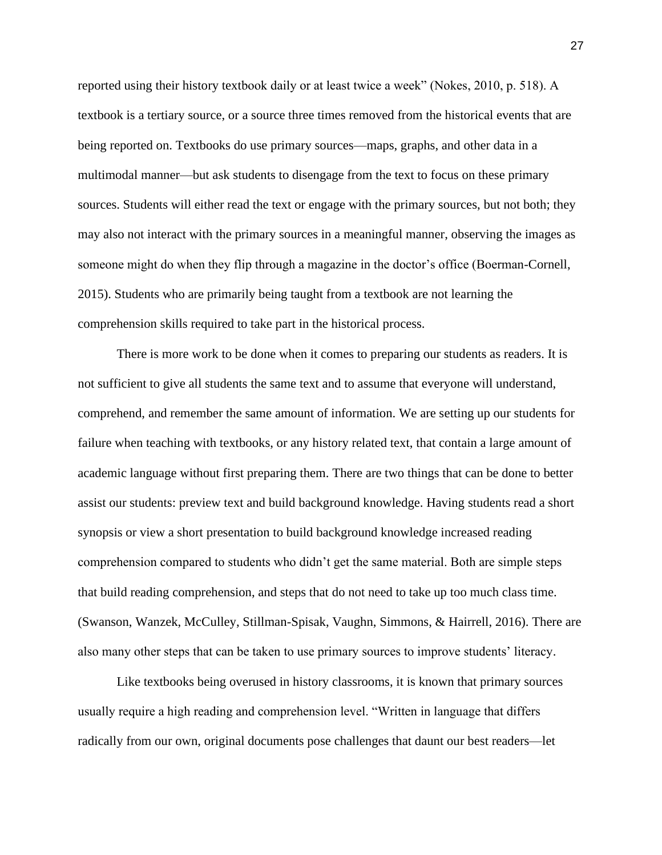reported using their history textbook daily or at least twice a week" (Nokes, 2010, p. 518). A textbook is a tertiary source, or a source three times removed from the historical events that are being reported on. Textbooks do use primary sources—maps, graphs, and other data in a multimodal manner—but ask students to disengage from the text to focus on these primary sources. Students will either read the text or engage with the primary sources, but not both; they may also not interact with the primary sources in a meaningful manner, observing the images as someone might do when they flip through a magazine in the doctor's office (Boerman-Cornell, 2015). Students who are primarily being taught from a textbook are not learning the comprehension skills required to take part in the historical process.

There is more work to be done when it comes to preparing our students as readers. It is not sufficient to give all students the same text and to assume that everyone will understand, comprehend, and remember the same amount of information. We are setting up our students for failure when teaching with textbooks, or any history related text, that contain a large amount of academic language without first preparing them. There are two things that can be done to better assist our students: preview text and build background knowledge. Having students read a short synopsis or view a short presentation to build background knowledge increased reading comprehension compared to students who didn't get the same material. Both are simple steps that build reading comprehension, and steps that do not need to take up too much class time. (Swanson, Wanzek, McCulley, Stillman-Spisak, Vaughn, Simmons, & Hairrell, 2016). There are also many other steps that can be taken to use primary sources to improve students' literacy.

Like textbooks being overused in history classrooms, it is known that primary sources usually require a high reading and comprehension level. "Written in language that differs radically from our own, original documents pose challenges that daunt our best readers—let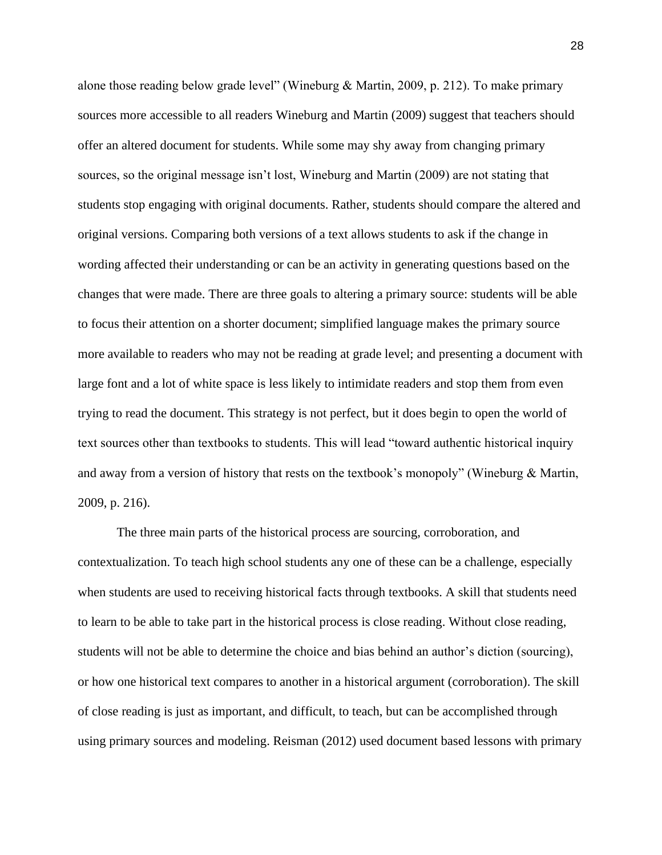alone those reading below grade level" (Wineburg & Martin, 2009, p. 212). To make primary sources more accessible to all readers Wineburg and Martin (2009) suggest that teachers should offer an altered document for students. While some may shy away from changing primary sources, so the original message isn't lost, Wineburg and Martin (2009) are not stating that students stop engaging with original documents. Rather, students should compare the altered and original versions. Comparing both versions of a text allows students to ask if the change in wording affected their understanding or can be an activity in generating questions based on the changes that were made. There are three goals to altering a primary source: students will be able to focus their attention on a shorter document; simplified language makes the primary source more available to readers who may not be reading at grade level; and presenting a document with large font and a lot of white space is less likely to intimidate readers and stop them from even trying to read the document. This strategy is not perfect, but it does begin to open the world of text sources other than textbooks to students. This will lead "toward authentic historical inquiry and away from a version of history that rests on the textbook's monopoly" (Wineburg & Martin, 2009, p. 216).

The three main parts of the historical process are sourcing, corroboration, and contextualization. To teach high school students any one of these can be a challenge, especially when students are used to receiving historical facts through textbooks. A skill that students need to learn to be able to take part in the historical process is close reading. Without close reading, students will not be able to determine the choice and bias behind an author's diction (sourcing), or how one historical text compares to another in a historical argument (corroboration). The skill of close reading is just as important, and difficult, to teach, but can be accomplished through using primary sources and modeling. Reisman (2012) used document based lessons with primary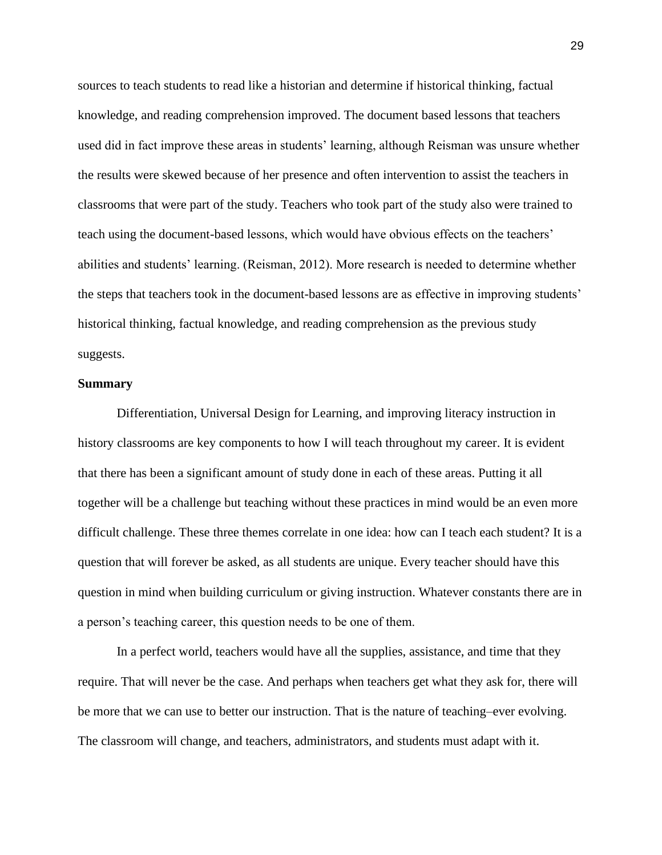sources to teach students to read like a historian and determine if historical thinking, factual knowledge, and reading comprehension improved. The document based lessons that teachers used did in fact improve these areas in students' learning, although Reisman was unsure whether the results were skewed because of her presence and often intervention to assist the teachers in classrooms that were part of the study. Teachers who took part of the study also were trained to teach using the document-based lessons, which would have obvious effects on the teachers' abilities and students' learning. (Reisman, 2012). More research is needed to determine whether the steps that teachers took in the document-based lessons are as effective in improving students' historical thinking, factual knowledge, and reading comprehension as the previous study suggests.

#### **Summary**

Differentiation, Universal Design for Learning, and improving literacy instruction in history classrooms are key components to how I will teach throughout my career. It is evident that there has been a significant amount of study done in each of these areas. Putting it all together will be a challenge but teaching without these practices in mind would be an even more difficult challenge. These three themes correlate in one idea: how can I teach each student? It is a question that will forever be asked, as all students are unique. Every teacher should have this question in mind when building curriculum or giving instruction. Whatever constants there are in a person's teaching career, this question needs to be one of them.

In a perfect world, teachers would have all the supplies, assistance, and time that they require. That will never be the case. And perhaps when teachers get what they ask for, there will be more that we can use to better our instruction. That is the nature of teaching–ever evolving. The classroom will change, and teachers, administrators, and students must adapt with it.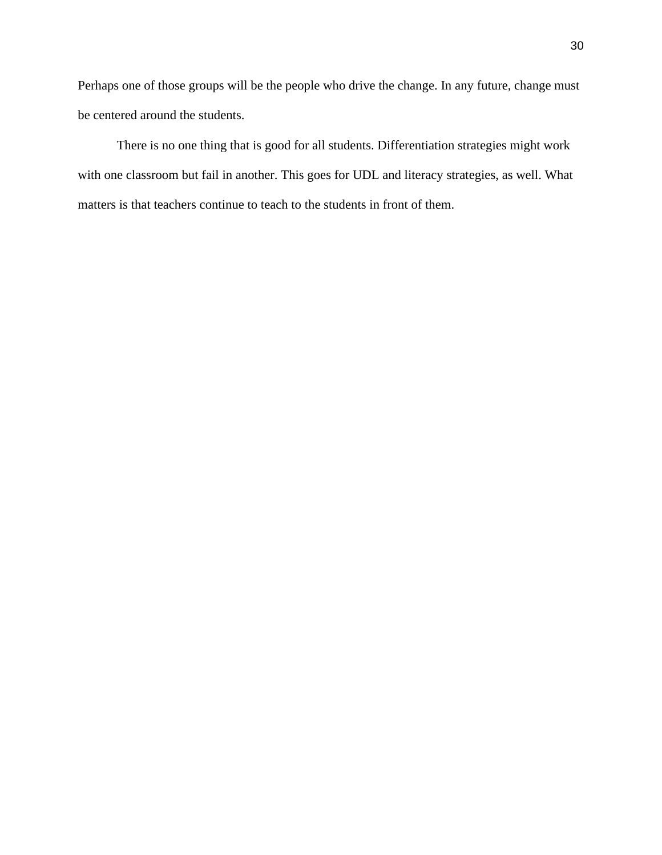Perhaps one of those groups will be the people who drive the change. In any future, change must be centered around the students.

There is no one thing that is good for all students. Differentiation strategies might work with one classroom but fail in another. This goes for UDL and literacy strategies, as well. What matters is that teachers continue to teach to the students in front of them.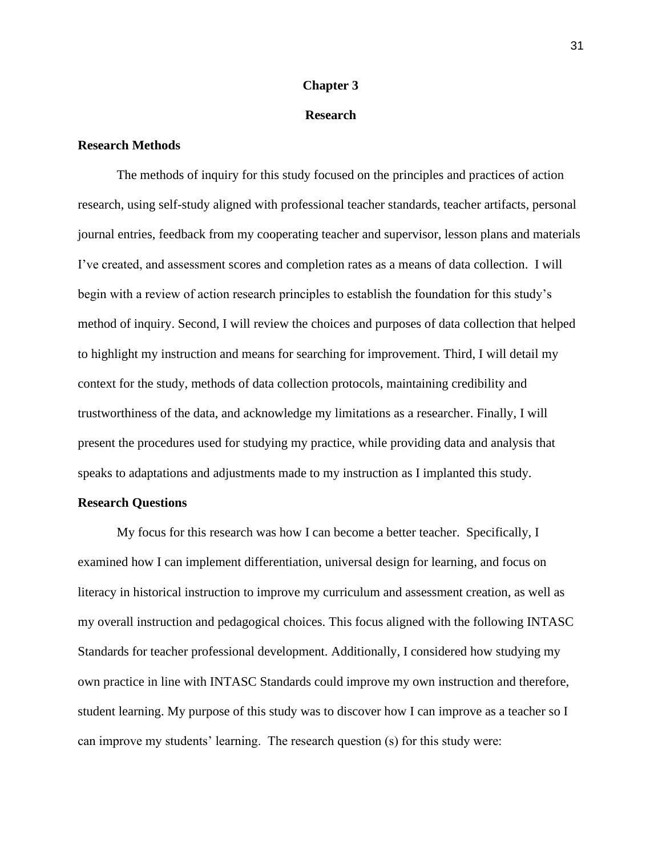#### **Chapter 3**

### **Research**

## **Research Methods**

 The methods of inquiry for this study focused on the principles and practices of action research, using self-study aligned with professional teacher standards, teacher artifacts, personal journal entries, feedback from my cooperating teacher and supervisor, lesson plans and materials I've created, and assessment scores and completion rates as a means of data collection. I will begin with a review of action research principles to establish the foundation for this study's method of inquiry. Second, I will review the choices and purposes of data collection that helped to highlight my instruction and means for searching for improvement. Third, I will detail my context for the study, methods of data collection protocols, maintaining credibility and trustworthiness of the data, and acknowledge my limitations as a researcher. Finally, I will present the procedures used for studying my practice, while providing data and analysis that speaks to adaptations and adjustments made to my instruction as I implanted this study.

#### **Research Questions**

My focus for this research was how I can become a better teacher. Specifically, I examined how I can implement differentiation, universal design for learning, and focus on literacy in historical instruction to improve my curriculum and assessment creation, as well as my overall instruction and pedagogical choices. This focus aligned with the following INTASC Standards for teacher professional development. Additionally, I considered how studying my own practice in line with INTASC Standards could improve my own instruction and therefore, student learning. My purpose of this study was to discover how I can improve as a teacher so I can improve my students' learning. The research question (s) for this study were: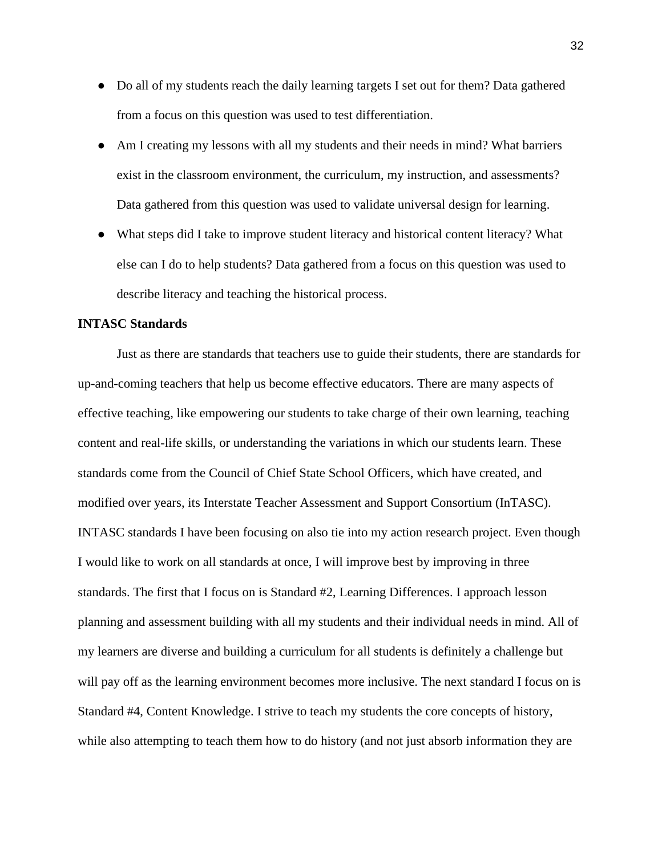- Do all of my students reach the daily learning targets I set out for them? Data gathered from a focus on this question was used to test differentiation.
- Am I creating my lessons with all my students and their needs in mind? What barriers exist in the classroom environment, the curriculum, my instruction, and assessments? Data gathered from this question was used to validate universal design for learning.
- What steps did I take to improve student literacy and historical content literacy? What else can I do to help students? Data gathered from a focus on this question was used to describe literacy and teaching the historical process.

#### **INTASC Standards**

Just as there are standards that teachers use to guide their students, there are standards for up-and-coming teachers that help us become effective educators. There are many aspects of effective teaching, like empowering our students to take charge of their own learning, teaching content and real-life skills, or understanding the variations in which our students learn. These standards come from the Council of Chief State School Officers, which have created, and modified over years, its Interstate Teacher Assessment and Support Consortium (InTASC). INTASC standards I have been focusing on also tie into my action research project. Even though I would like to work on all standards at once, I will improve best by improving in three standards. The first that I focus on is Standard #2, Learning Differences. I approach lesson planning and assessment building with all my students and their individual needs in mind. All of my learners are diverse and building a curriculum for all students is definitely a challenge but will pay off as the learning environment becomes more inclusive. The next standard I focus on is Standard #4, Content Knowledge. I strive to teach my students the core concepts of history, while also attempting to teach them how to do history (and not just absorb information they are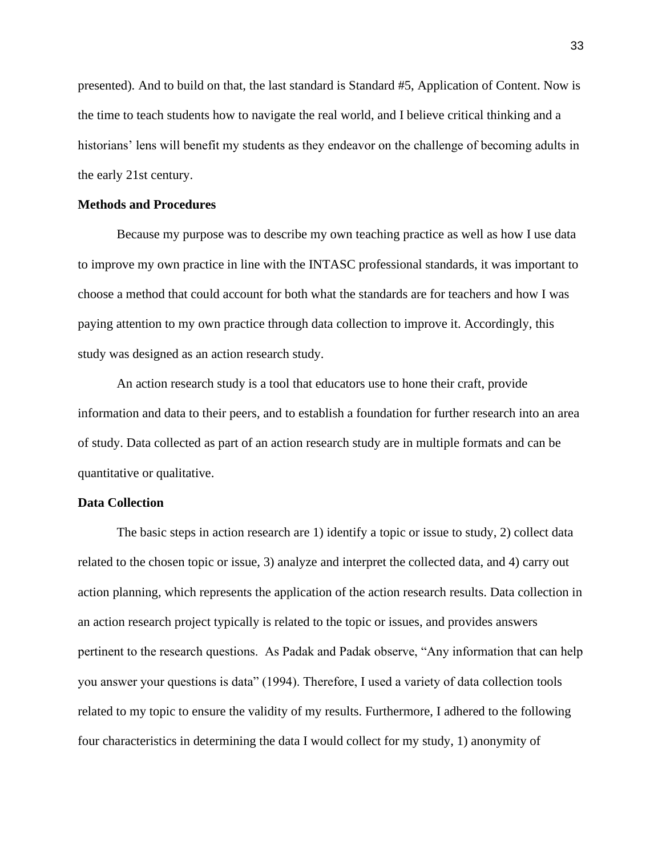presented). And to build on that, the last standard is Standard #5, Application of Content. Now is the time to teach students how to navigate the real world, and I believe critical thinking and a historians' lens will benefit my students as they endeavor on the challenge of becoming adults in the early 21st century.

#### **Methods and Procedures**

 Because my purpose was to describe my own teaching practice as well as how I use data to improve my own practice in line with the INTASC professional standards, it was important to choose a method that could account for both what the standards are for teachers and how I was paying attention to my own practice through data collection to improve it. Accordingly, this study was designed as an action research study.

 An action research study is a tool that educators use to hone their craft, provide information and data to their peers, and to establish a foundation for further research into an area of study. Data collected as part of an action research study are in multiple formats and can be quantitative or qualitative.

#### **Data Collection**

 The basic steps in action research are 1) identify a topic or issue to study, 2) collect data related to the chosen topic or issue, 3) analyze and interpret the collected data, and 4) carry out action planning, which represents the application of the action research results. Data collection in an action research project typically is related to the topic or issues, and provides answers pertinent to the research questions. As Padak and Padak observe, "Any information that can help you answer your questions is data" (1994). Therefore, I used a variety of data collection tools related to my topic to ensure the validity of my results. Furthermore, I adhered to the following four characteristics in determining the data I would collect for my study, 1) anonymity of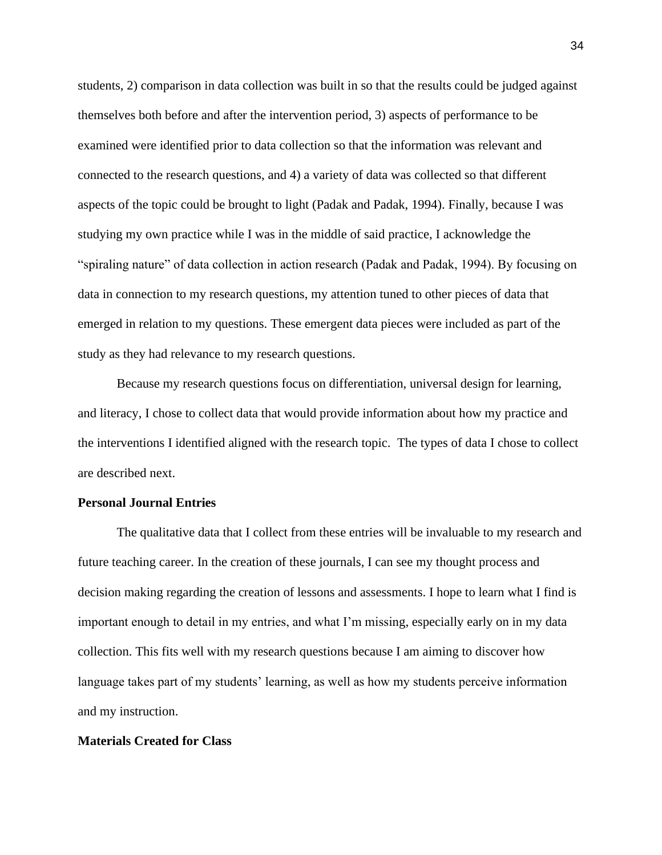students, 2) comparison in data collection was built in so that the results could be judged against themselves both before and after the intervention period, 3) aspects of performance to be examined were identified prior to data collection so that the information was relevant and connected to the research questions, and 4) a variety of data was collected so that different aspects of the topic could be brought to light (Padak and Padak, 1994). Finally, because I was studying my own practice while I was in the middle of said practice, I acknowledge the "spiraling nature" of data collection in action research (Padak and Padak, 1994). By focusing on data in connection to my research questions, my attention tuned to other pieces of data that emerged in relation to my questions. These emergent data pieces were included as part of the study as they had relevance to my research questions.

 Because my research questions focus on differentiation, universal design for learning, and literacy, I chose to collect data that would provide information about how my practice and the interventions I identified aligned with the research topic. The types of data I chose to collect are described next.

#### **Personal Journal Entries**

The qualitative data that I collect from these entries will be invaluable to my research and future teaching career. In the creation of these journals, I can see my thought process and decision making regarding the creation of lessons and assessments. I hope to learn what I find is important enough to detail in my entries, and what I'm missing, especially early on in my data collection. This fits well with my research questions because I am aiming to discover how language takes part of my students' learning, as well as how my students perceive information and my instruction.

### **Materials Created for Class**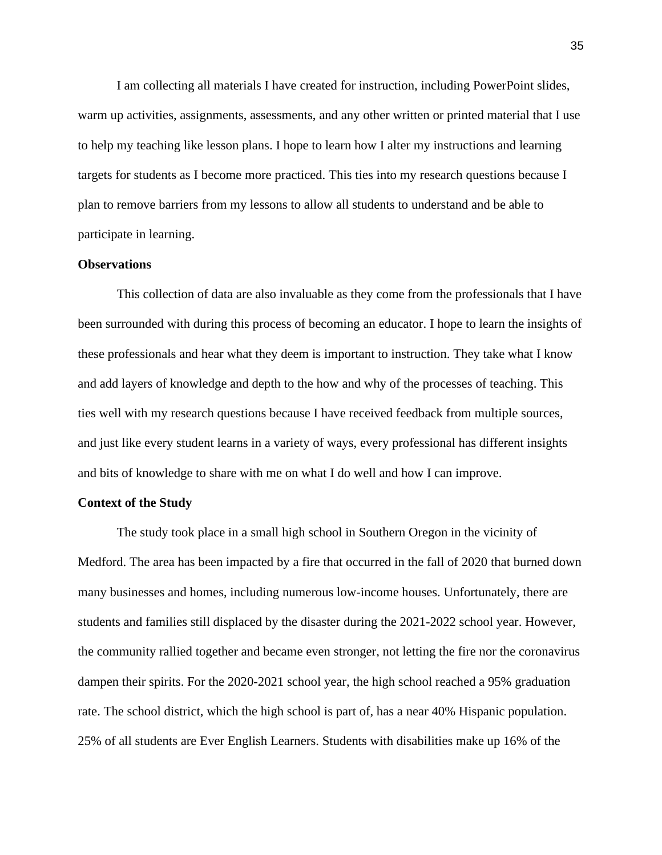I am collecting all materials I have created for instruction, including PowerPoint slides, warm up activities, assignments, assessments, and any other written or printed material that I use to help my teaching like lesson plans. I hope to learn how I alter my instructions and learning targets for students as I become more practiced. This ties into my research questions because I plan to remove barriers from my lessons to allow all students to understand and be able to participate in learning.

#### **Observations**

 This collection of data are also invaluable as they come from the professionals that I have been surrounded with during this process of becoming an educator. I hope to learn the insights of these professionals and hear what they deem is important to instruction. They take what I know and add layers of knowledge and depth to the how and why of the processes of teaching. This ties well with my research questions because I have received feedback from multiple sources, and just like every student learns in a variety of ways, every professional has different insights and bits of knowledge to share with me on what I do well and how I can improve.

#### **Context of the Study**

 The study took place in a small high school in Southern Oregon in the vicinity of Medford. The area has been impacted by a fire that occurred in the fall of 2020 that burned down many businesses and homes, including numerous low-income houses. Unfortunately, there are students and families still displaced by the disaster during the 2021-2022 school year. However, the community rallied together and became even stronger, not letting the fire nor the coronavirus dampen their spirits. For the 2020-2021 school year, the high school reached a 95% graduation rate. The school district, which the high school is part of, has a near 40% Hispanic population. 25% of all students are Ever English Learners. Students with disabilities make up 16% of the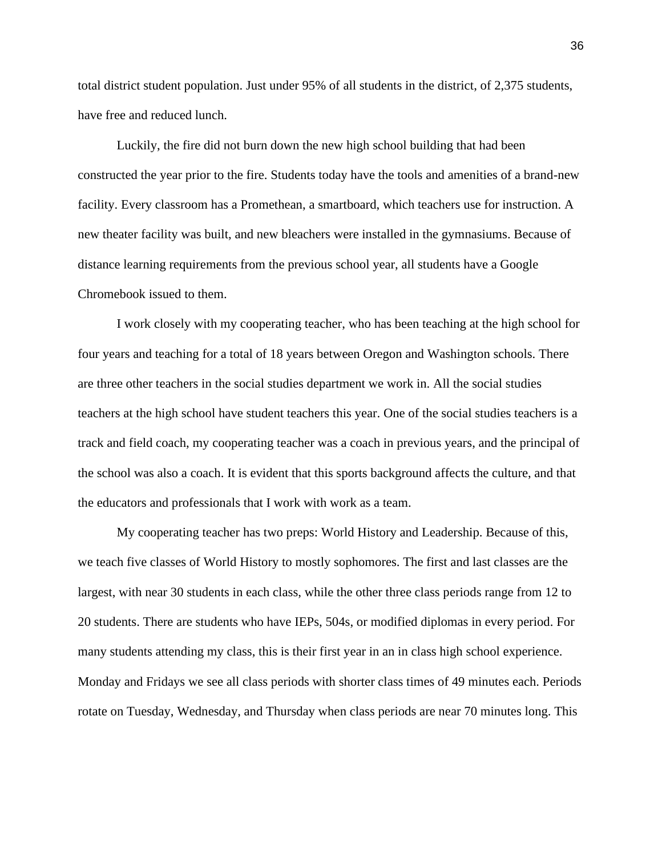total district student population. Just under 95% of all students in the district, of 2,375 students, have free and reduced lunch.

Luckily, the fire did not burn down the new high school building that had been constructed the year prior to the fire. Students today have the tools and amenities of a brand-new facility. Every classroom has a Promethean, a smartboard, which teachers use for instruction. A new theater facility was built, and new bleachers were installed in the gymnasiums. Because of distance learning requirements from the previous school year, all students have a Google Chromebook issued to them.

I work closely with my cooperating teacher, who has been teaching at the high school for four years and teaching for a total of 18 years between Oregon and Washington schools. There are three other teachers in the social studies department we work in. All the social studies teachers at the high school have student teachers this year. One of the social studies teachers is a track and field coach, my cooperating teacher was a coach in previous years, and the principal of the school was also a coach. It is evident that this sports background affects the culture, and that the educators and professionals that I work with work as a team.

My cooperating teacher has two preps: World History and Leadership. Because of this, we teach five classes of World History to mostly sophomores. The first and last classes are the largest, with near 30 students in each class, while the other three class periods range from 12 to 20 students. There are students who have IEPs, 504s, or modified diplomas in every period. For many students attending my class, this is their first year in an in class high school experience. Monday and Fridays we see all class periods with shorter class times of 49 minutes each. Periods rotate on Tuesday, Wednesday, and Thursday when class periods are near 70 minutes long. This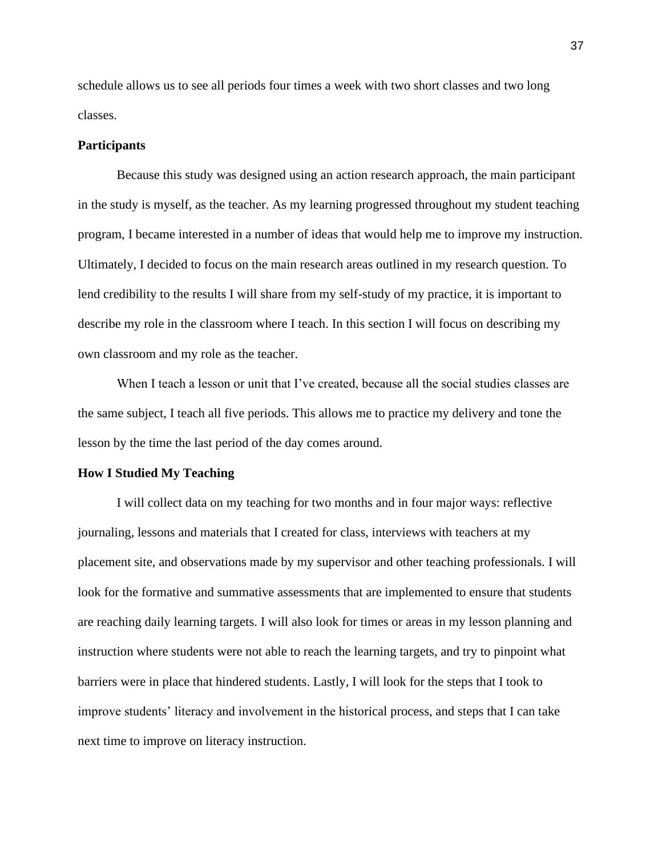schedule allows us to see all periods four times a week with two short classes and two long classes.

#### **Participants**

 Because this study was designed using an action research approach, the main participant in the study is myself, as the teacher. As my learning progressed throughout my student teaching program, I became interested in a number of ideas that would help me to improve my instruction. Ultimately, I decided to focus on the main research areas outlined in my research question. To lend credibility to the results I will share from my self-study of my practice, it is important to describe my role in the classroom where I teach. In this section I will focus on describing my own classroom and my role as the teacher.

When I teach a lesson or unit that I've created, because all the social studies classes are the same subject, I teach all five periods. This allows me to practice my delivery and tone the lesson by the time the last period of the day comes around.

#### **How I Studied My Teaching**

I will collect data on my teaching for two months and in four major ways: reflective journaling, lessons and materials that I created for class, interviews with teachers at my placement site, and observations made by my supervisor and other teaching professionals. I will look for the formative and summative assessments that are implemented to ensure that students are reaching daily learning targets. I will also look for times or areas in my lesson planning and instruction where students were not able to reach the learning targets, and try to pinpoint what barriers were in place that hindered students. Lastly, I will look for the steps that I took to improve students' literacy and involvement in the historical process, and steps that I can take next time to improve on literacy instruction.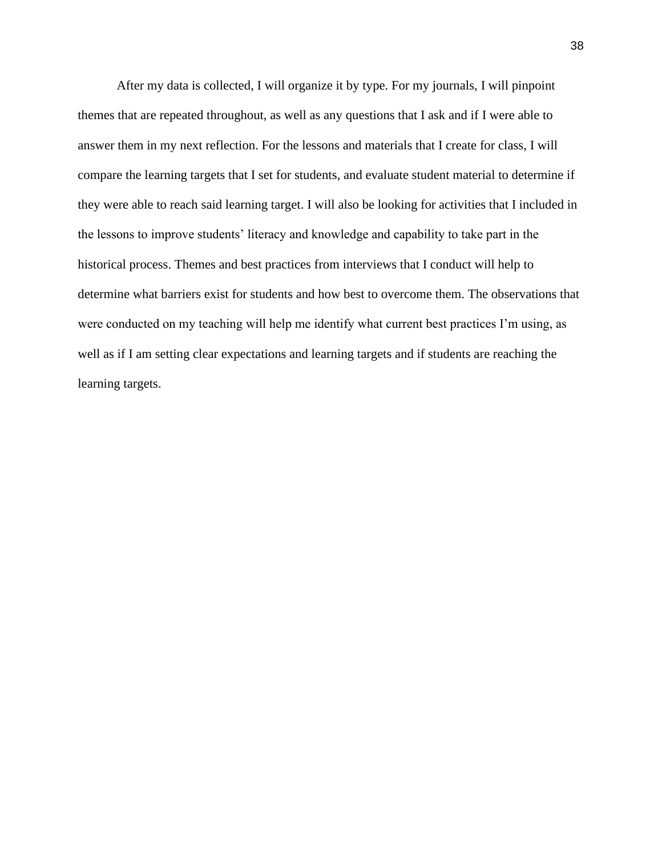After my data is collected, I will organize it by type. For my journals, I will pinpoint themes that are repeated throughout, as well as any questions that I ask and if I were able to answer them in my next reflection. For the lessons and materials that I create for class, I will compare the learning targets that I set for students, and evaluate student material to determine if they were able to reach said learning target. I will also be looking for activities that I included in the lessons to improve students' literacy and knowledge and capability to take part in the historical process. Themes and best practices from interviews that I conduct will help to determine what barriers exist for students and how best to overcome them. The observations that were conducted on my teaching will help me identify what current best practices I'm using, as well as if I am setting clear expectations and learning targets and if students are reaching the learning targets.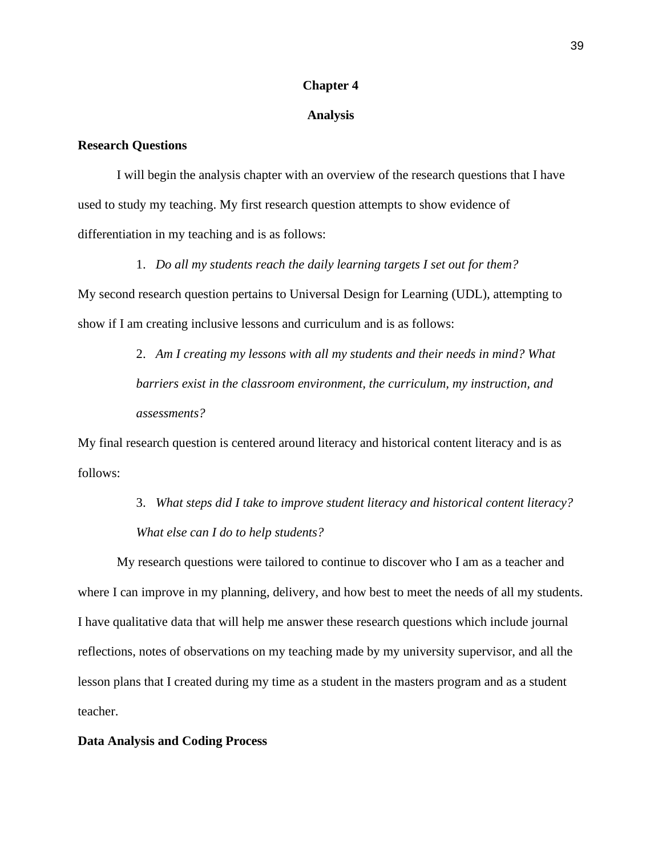#### **Chapter 4**

#### **Analysis**

#### **Research Questions**

 I will begin the analysis chapter with an overview of the research questions that I have used to study my teaching. My first research question attempts to show evidence of differentiation in my teaching and is as follows:

1. *Do all my students reach the daily learning targets I set out for them?* My second research question pertains to Universal Design for Learning (UDL), attempting to show if I am creating inclusive lessons and curriculum and is as follows:

> 2. *Am I creating my lessons with all my students and their needs in mind? What barriers exist in the classroom environment, the curriculum, my instruction, and assessments?*

My final research question is centered around literacy and historical content literacy and is as follows:

> 3. *What steps did I take to improve student literacy and historical content literacy? What else can I do to help students?*

My research questions were tailored to continue to discover who I am as a teacher and where I can improve in my planning, delivery, and how best to meet the needs of all my students. I have qualitative data that will help me answer these research questions which include journal reflections, notes of observations on my teaching made by my university supervisor, and all the lesson plans that I created during my time as a student in the masters program and as a student teacher.

#### **Data Analysis and Coding Process**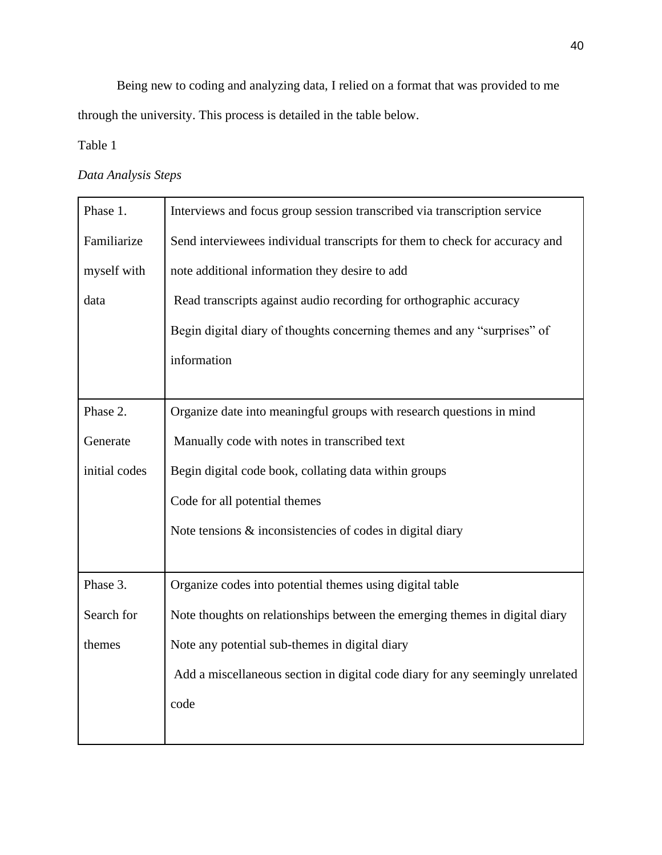Being new to coding and analyzing data, I relied on a format that was provided to me through the university. This process is detailed in the table below.

Table 1

## *Data Analysis Steps*

| Phase 1.      | Interviews and focus group session transcribed via transcription service      |  |  |
|---------------|-------------------------------------------------------------------------------|--|--|
| Familiarize   | Send interviewees individual transcripts for them to check for accuracy and   |  |  |
| myself with   | note additional information they desire to add                                |  |  |
| data          | Read transcripts against audio recording for orthographic accuracy            |  |  |
|               | Begin digital diary of thoughts concerning themes and any "surprises" of      |  |  |
|               | information                                                                   |  |  |
|               |                                                                               |  |  |
| Phase 2.      | Organize date into meaningful groups with research questions in mind          |  |  |
| Generate      | Manually code with notes in transcribed text                                  |  |  |
| initial codes | Begin digital code book, collating data within groups                         |  |  |
|               | Code for all potential themes                                                 |  |  |
|               | Note tensions $\&$ inconsistencies of codes in digital diary                  |  |  |
|               |                                                                               |  |  |
| Phase 3.      | Organize codes into potential themes using digital table                      |  |  |
| Search for    | Note thoughts on relationships between the emerging themes in digital diary   |  |  |
| themes        | Note any potential sub-themes in digital diary                                |  |  |
|               | Add a miscellaneous section in digital code diary for any seemingly unrelated |  |  |
|               | code                                                                          |  |  |
|               |                                                                               |  |  |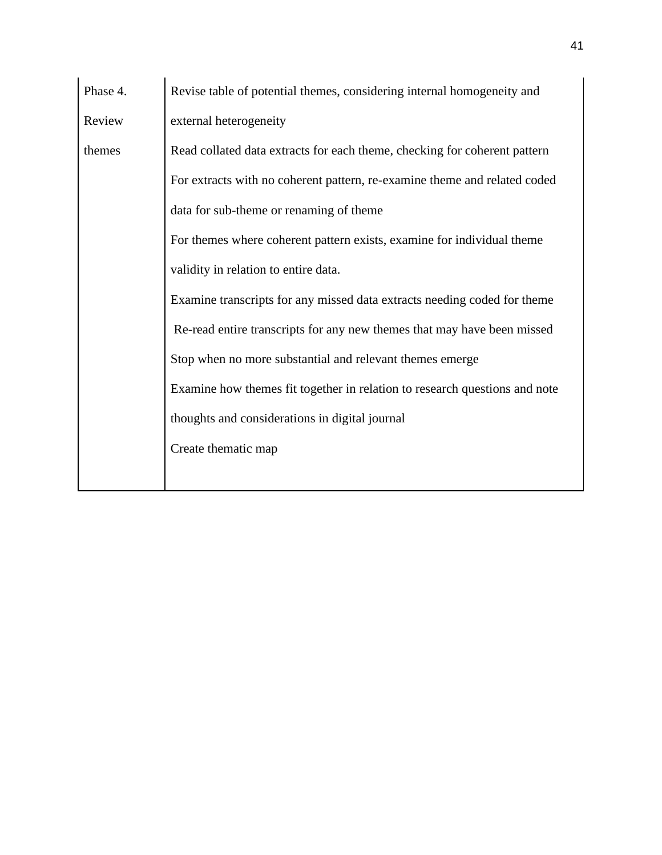| Phase 4. | Revise table of potential themes, considering internal homogeneity and     |  |  |
|----------|----------------------------------------------------------------------------|--|--|
| Review   | external heterogeneity                                                     |  |  |
| themes   | Read collated data extracts for each theme, checking for coherent pattern  |  |  |
|          | For extracts with no coherent pattern, re-examine theme and related coded  |  |  |
|          | data for sub-theme or renaming of theme                                    |  |  |
|          | For themes where coherent pattern exists, examine for individual theme     |  |  |
|          | validity in relation to entire data.                                       |  |  |
|          | Examine transcripts for any missed data extracts needing coded for theme   |  |  |
|          | Re-read entire transcripts for any new themes that may have been missed    |  |  |
|          | Stop when no more substantial and relevant themes emerge                   |  |  |
|          | Examine how themes fit together in relation to research questions and note |  |  |
|          | thoughts and considerations in digital journal                             |  |  |
|          | Create thematic map                                                        |  |  |
|          |                                                                            |  |  |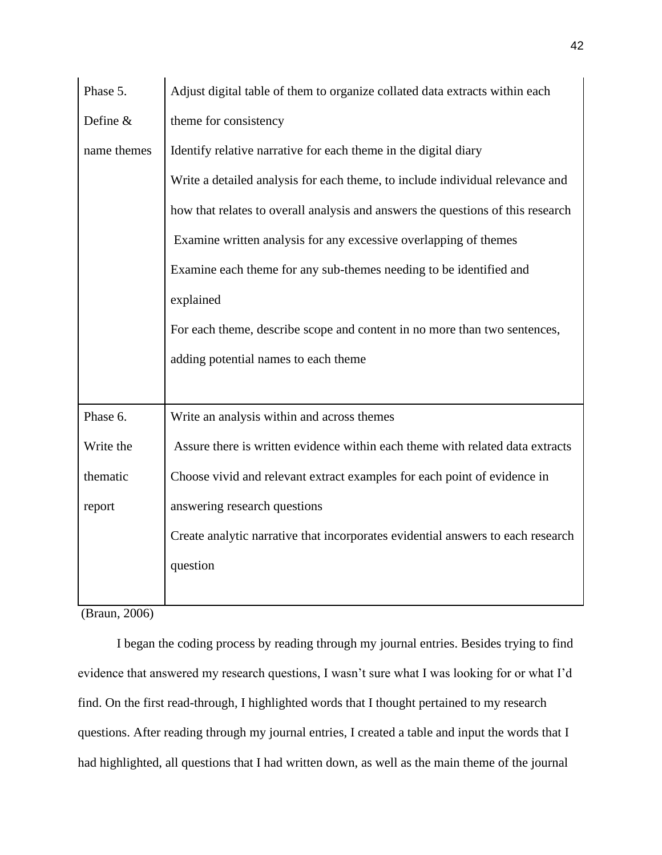| Phase 5.    | Adjust digital table of them to organize collated data extracts within each     |  |  |
|-------------|---------------------------------------------------------------------------------|--|--|
| Define $&$  | theme for consistency                                                           |  |  |
| name themes | Identify relative narrative for each theme in the digital diary                 |  |  |
|             | Write a detailed analysis for each theme, to include individual relevance and   |  |  |
|             | how that relates to overall analysis and answers the questions of this research |  |  |
|             | Examine written analysis for any excessive overlapping of themes                |  |  |
|             | Examine each theme for any sub-themes needing to be identified and              |  |  |
|             | explained                                                                       |  |  |
|             | For each theme, describe scope and content in no more than two sentences,       |  |  |
|             |                                                                                 |  |  |
|             | adding potential names to each theme                                            |  |  |
|             |                                                                                 |  |  |
| Phase 6.    | Write an analysis within and across themes                                      |  |  |
| Write the   | Assure there is written evidence within each theme with related data extracts   |  |  |
| thematic    | Choose vivid and relevant extract examples for each point of evidence in        |  |  |
| report      | answering research questions                                                    |  |  |
|             | Create analytic narrative that incorporates evidential answers to each research |  |  |
|             | question                                                                        |  |  |

(Braun, 2006)

I began the coding process by reading through my journal entries. Besides trying to find evidence that answered my research questions, I wasn't sure what I was looking for or what I'd find. On the first read-through, I highlighted words that I thought pertained to my research questions. After reading through my journal entries, I created a table and input the words that I had highlighted, all questions that I had written down, as well as the main theme of the journal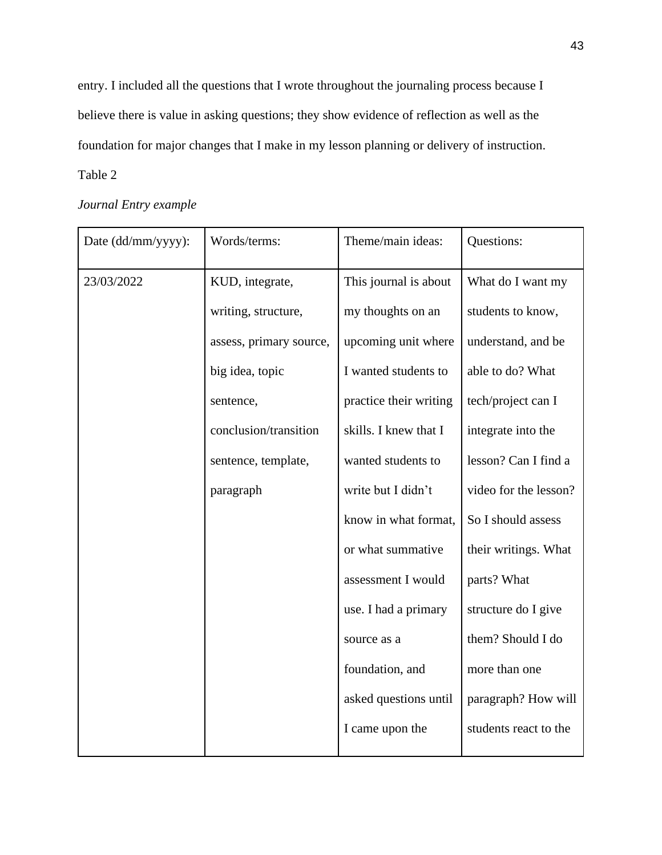entry. I included all the questions that I wrote throughout the journaling process because I believe there is value in asking questions; they show evidence of reflection as well as the foundation for major changes that I make in my lesson planning or delivery of instruction.

## Table 2

| Date (dd/mm/yyyy): | Words/terms:            | Theme/main ideas:      | Questions:            |
|--------------------|-------------------------|------------------------|-----------------------|
| 23/03/2022         | KUD, integrate,         | This journal is about  | What do I want my     |
|                    | writing, structure,     | my thoughts on an      | students to know,     |
|                    | assess, primary source, | upcoming unit where    | understand, and be    |
|                    | big idea, topic         | I wanted students to   | able to do? What      |
|                    | sentence,               | practice their writing | tech/project can I    |
|                    | conclusion/transition   | skills. I knew that I  | integrate into the    |
|                    | sentence, template,     | wanted students to     | lesson? Can I find a  |
|                    | paragraph               | write but I didn't     | video for the lesson? |
|                    |                         | know in what format,   | So I should assess    |
|                    |                         | or what summative      | their writings. What  |
|                    |                         | assessment I would     | parts? What           |
|                    |                         | use. I had a primary   | structure do I give   |
|                    |                         | source as a            | them? Should I do     |
|                    |                         | foundation, and        | more than one         |
|                    |                         | asked questions until  | paragraph? How will   |
|                    |                         | I came upon the        | students react to the |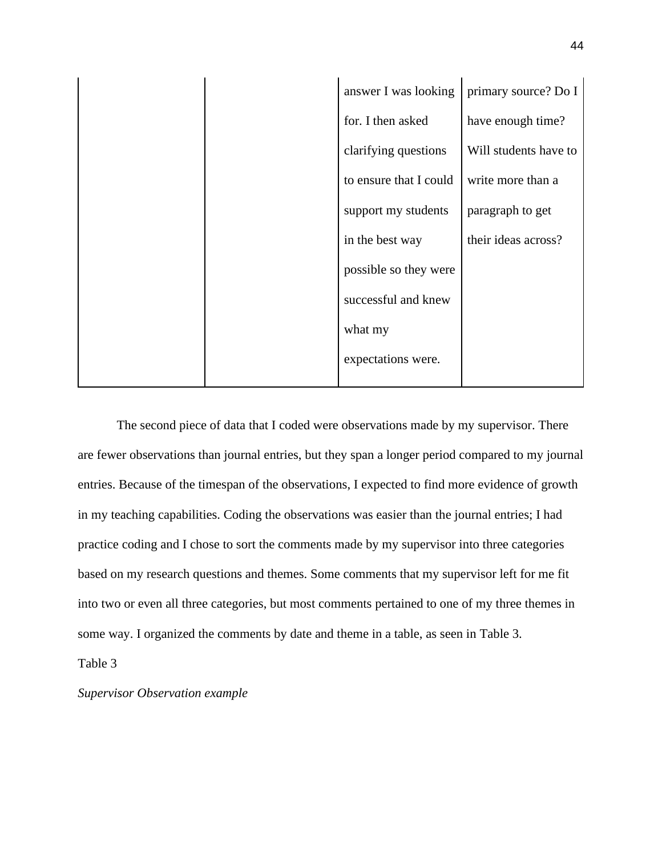|  | answer I was looking   | primary source? Do I  |
|--|------------------------|-----------------------|
|  | for. I then asked      | have enough time?     |
|  | clarifying questions   | Will students have to |
|  | to ensure that I could | write more than a     |
|  | support my students    | paragraph to get      |
|  | in the best way        | their ideas across?   |
|  | possible so they were  |                       |
|  | successful and knew    |                       |
|  | what my                |                       |
|  | expectations were.     |                       |
|  |                        |                       |

 The second piece of data that I coded were observations made by my supervisor. There are fewer observations than journal entries, but they span a longer period compared to my journal entries. Because of the timespan of the observations, I expected to find more evidence of growth in my teaching capabilities. Coding the observations was easier than the journal entries; I had practice coding and I chose to sort the comments made by my supervisor into three categories based on my research questions and themes. Some comments that my supervisor left for me fit into two or even all three categories, but most comments pertained to one of my three themes in some way. I organized the comments by date and theme in a table, as seen in Table 3.

Table 3

*Supervisor Observation example*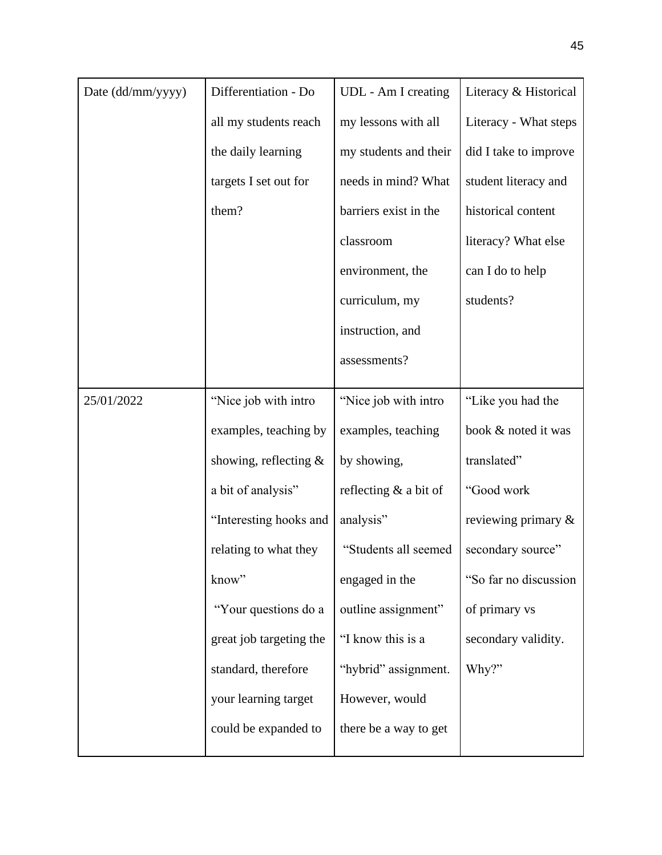| Date (dd/mm/yyyy) | Differentiation - Do     | UDL - Am I creating     | Literacy & Historical  |
|-------------------|--------------------------|-------------------------|------------------------|
|                   | all my students reach    | my lessons with all     | Literacy - What steps  |
|                   | the daily learning       | my students and their   | did I take to improve  |
|                   | targets I set out for    | needs in mind? What     | student literacy and   |
|                   | them?                    | barriers exist in the   | historical content     |
|                   |                          | classroom               | literacy? What else    |
|                   |                          | environment, the        | can I do to help       |
|                   |                          | curriculum, my          | students?              |
|                   |                          | instruction, and        |                        |
|                   |                          | assessments?            |                        |
| 25/01/2022        | "Nice job with intro     | "Nice job with intro"   | "Like you had the      |
|                   | examples, teaching by    | examples, teaching      | book & noted it was    |
|                   | showing, reflecting $\&$ | by showing,             | translated"            |
|                   | a bit of analysis"       | reflecting $&$ a bit of | "Good work             |
|                   | "Interesting hooks and   | analysis"               | reviewing primary $\&$ |
|                   | relating to what they    | "Students all seemed    | secondary source"      |
|                   | know"                    | engaged in the          | "So far no discussion  |
|                   | "Your questions do a     | outline assignment"     | of primary vs          |
|                   | great job targeting the  | "I know this is a       | secondary validity.    |
|                   | standard, therefore      | "hybrid" assignment.    | Why?"                  |
|                   | your learning target     | However, would          |                        |
|                   | could be expanded to     | there be a way to get   |                        |
|                   |                          |                         |                        |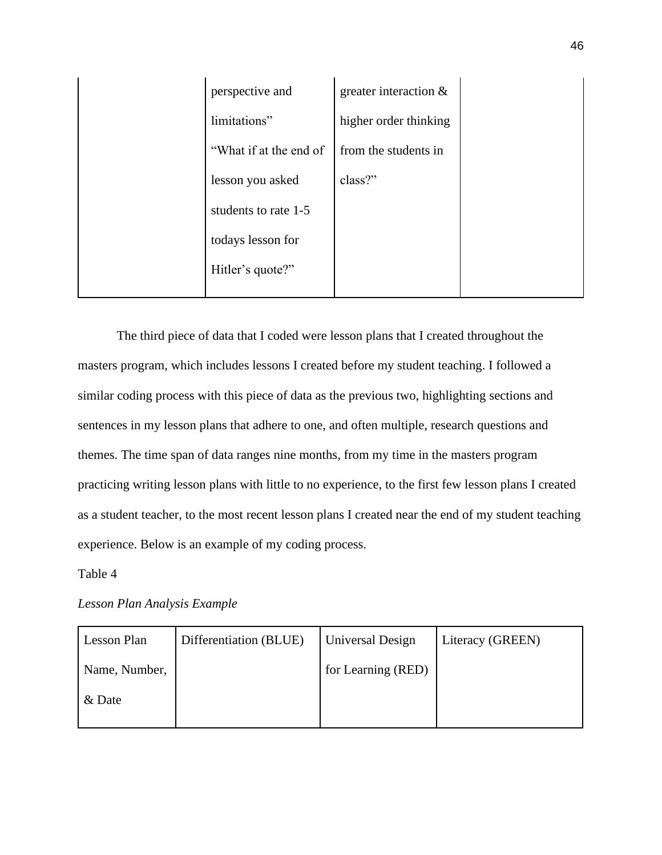| perspective and        | greater interaction $\&$ |  |
|------------------------|--------------------------|--|
| limitations"           | higher order thinking    |  |
| "What if at the end of | from the students in     |  |
| lesson you asked       | class?"                  |  |
| students to rate 1-5   |                          |  |
| todays lesson for      |                          |  |
| Hitler's quote?"       |                          |  |
|                        |                          |  |

The third piece of data that I coded were lesson plans that I created throughout the masters program, which includes lessons I created before my student teaching. I followed a similar coding process with this piece of data as the previous two, highlighting sections and sentences in my lesson plans that adhere to one, and often multiple, research questions and themes. The time span of data ranges nine months, from my time in the masters program practicing writing lesson plans with little to no experience, to the first few lesson plans I created as a student teacher, to the most recent lesson plans I created near the end of my student teaching experience. Below is an example of my coding process.

Table 4

*Lesson Plan Analysis Example*

| Lesson Plan   | Differentiation (BLUE) | Universal Design   | Literacy (GREEN) |
|---------------|------------------------|--------------------|------------------|
| Name, Number, |                        | for Learning (RED) |                  |
| & Date        |                        |                    |                  |
|               |                        |                    |                  |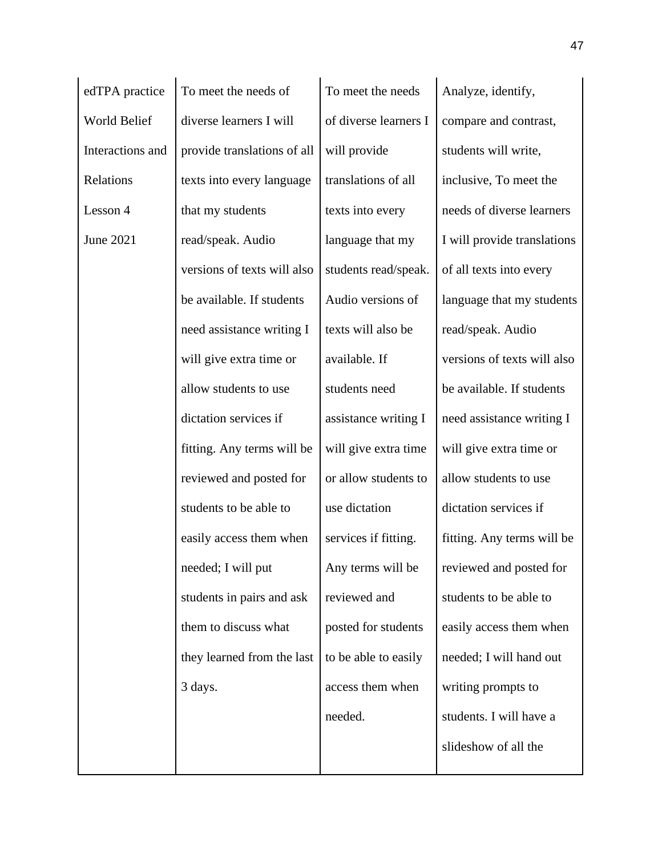| edTPA practice   | To meet the needs of        | To meet the needs     | Analyze, identify,          |
|------------------|-----------------------------|-----------------------|-----------------------------|
| World Belief     | diverse learners I will     | of diverse learners I | compare and contrast,       |
| Interactions and | provide translations of all | will provide          | students will write,        |
| Relations        | texts into every language   | translations of all   | inclusive, To meet the      |
| Lesson 4         | that my students            | texts into every      | needs of diverse learners   |
| June 2021        | read/speak. Audio           | language that my      | I will provide translations |
|                  | versions of texts will also | students read/speak.  | of all texts into every     |
|                  | be available. If students   | Audio versions of     | language that my students   |
|                  | need assistance writing I   | texts will also be    | read/speak. Audio           |
|                  | will give extra time or     | available. If         | versions of texts will also |
|                  | allow students to use       | students need         | be available. If students   |
|                  | dictation services if       | assistance writing I  | need assistance writing I   |
|                  | fitting. Any terms will be  | will give extra time  | will give extra time or     |
|                  | reviewed and posted for     | or allow students to  | allow students to use       |
|                  | students to be able to      | use dictation         | dictation services if       |
|                  | easily access them when     | services if fitting.  | fitting. Any terms will be  |
|                  | needed; I will put          | Any terms will be     | reviewed and posted for     |
|                  | students in pairs and ask   | reviewed and          | students to be able to      |
|                  | them to discuss what        | posted for students   | easily access them when     |
|                  | they learned from the last  | to be able to easily  | needed; I will hand out     |
|                  | 3 days.                     | access them when      | writing prompts to          |
|                  |                             | needed.               | students. I will have a     |
|                  |                             |                       | slideshow of all the        |
|                  |                             |                       |                             |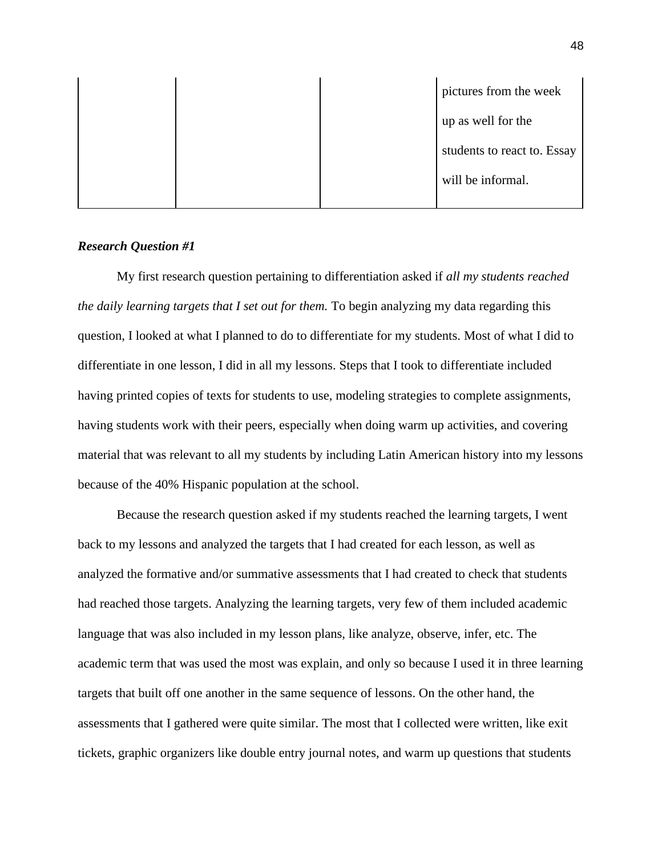|  |  | pictures from the week      |
|--|--|-----------------------------|
|  |  | up as well for the          |
|  |  | students to react to. Essay |
|  |  | will be informal.           |
|  |  |                             |

## *Research Question #1*

 My first research question pertaining to differentiation asked if *all my students reached the daily learning targets that I set out for them.* To begin analyzing my data regarding this question, I looked at what I planned to do to differentiate for my students. Most of what I did to differentiate in one lesson, I did in all my lessons. Steps that I took to differentiate included having printed copies of texts for students to use, modeling strategies to complete assignments, having students work with their peers, especially when doing warm up activities, and covering material that was relevant to all my students by including Latin American history into my lessons because of the 40% Hispanic population at the school.

Because the research question asked if my students reached the learning targets, I went back to my lessons and analyzed the targets that I had created for each lesson, as well as analyzed the formative and/or summative assessments that I had created to check that students had reached those targets. Analyzing the learning targets, very few of them included academic language that was also included in my lesson plans, like analyze, observe, infer, etc. The academic term that was used the most was explain, and only so because I used it in three learning targets that built off one another in the same sequence of lessons. On the other hand, the assessments that I gathered were quite similar. The most that I collected were written, like exit tickets, graphic organizers like double entry journal notes, and warm up questions that students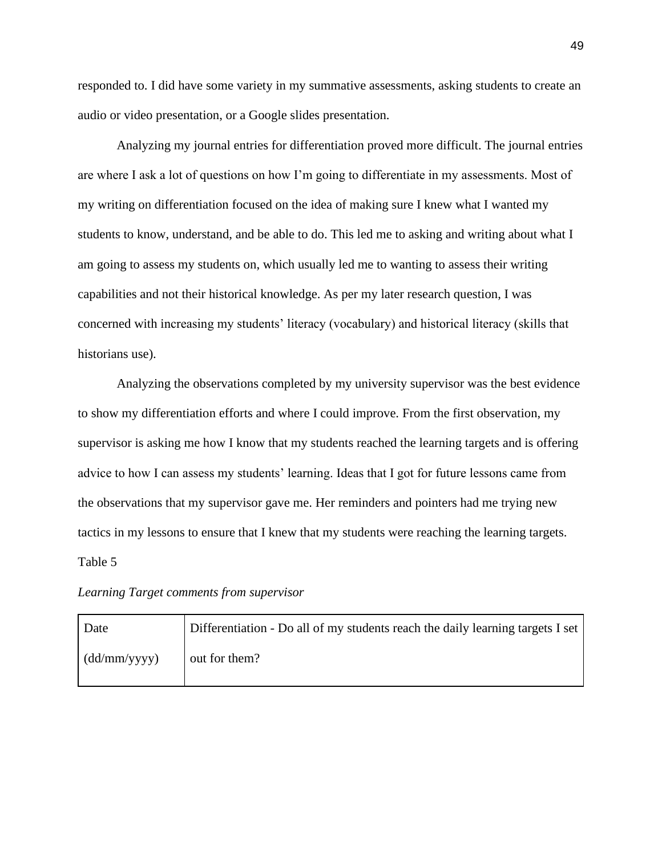responded to. I did have some variety in my summative assessments, asking students to create an audio or video presentation, or a Google slides presentation.

Analyzing my journal entries for differentiation proved more difficult. The journal entries are where I ask a lot of questions on how I'm going to differentiate in my assessments. Most of my writing on differentiation focused on the idea of making sure I knew what I wanted my students to know, understand, and be able to do. This led me to asking and writing about what I am going to assess my students on, which usually led me to wanting to assess their writing capabilities and not their historical knowledge. As per my later research question, I was concerned with increasing my students' literacy (vocabulary) and historical literacy (skills that historians use).

 Analyzing the observations completed by my university supervisor was the best evidence to show my differentiation efforts and where I could improve. From the first observation, my supervisor is asking me how I know that my students reached the learning targets and is offering advice to how I can assess my students' learning. Ideas that I got for future lessons came from the observations that my supervisor gave me. Her reminders and pointers had me trying new tactics in my lessons to ensure that I knew that my students were reaching the learning targets. Table 5

#### *Learning Target comments from supervisor*

| Date         | Differentiation - Do all of my students reach the daily learning targets I set |
|--------------|--------------------------------------------------------------------------------|
| (dd/mm/yyyy) | out for them?                                                                  |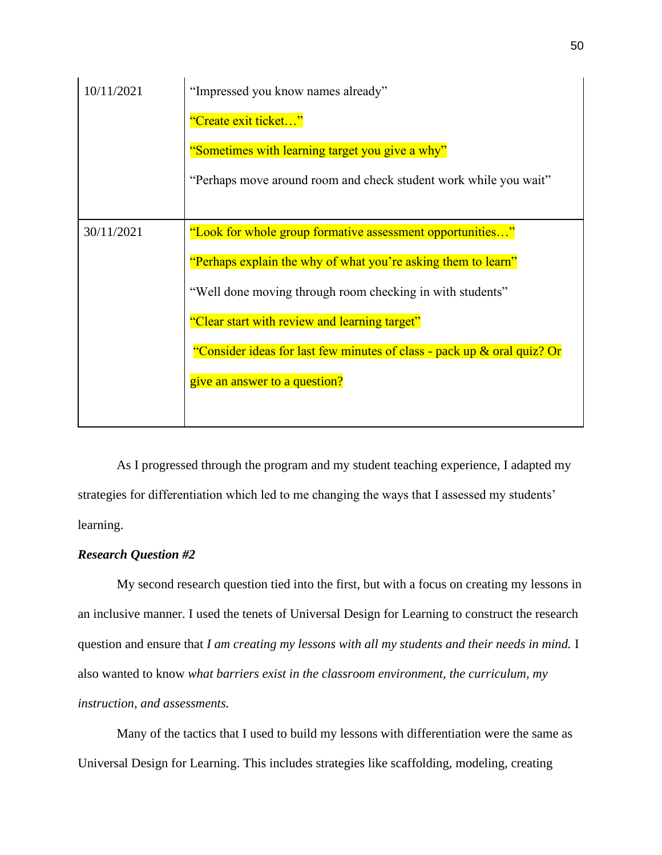| 10/11/2021 | "Impressed you know names already"                                      |
|------------|-------------------------------------------------------------------------|
|            | "Create exit ticket"                                                    |
|            | "Sometimes with learning target you give a why"                         |
|            | "Perhaps move around room and check student work while you wait"        |
|            |                                                                         |
| 30/11/2021 | "Look for whole group formative assessment opportunities"               |
|            | "Perhaps explain the why of what you're asking them to learn"           |
|            | "Well done moving through room checking in with students"               |
|            | "Clear start with review and learning target"                           |
|            | "Consider ideas for last few minutes of class - pack up & oral quiz? Or |
|            | give an answer to a question?                                           |
|            |                                                                         |

 As I progressed through the program and my student teaching experience, I adapted my strategies for differentiation which led to me changing the ways that I assessed my students' learning.

## *Research Question #2*

My second research question tied into the first, but with a focus on creating my lessons in an inclusive manner. I used the tenets of Universal Design for Learning to construct the research question and ensure that *I am creating my lessons with all my students and their needs in mind.* I also wanted to know *what barriers exist in the classroom environment, the curriculum, my instruction, and assessments.*

Many of the tactics that I used to build my lessons with differentiation were the same as Universal Design for Learning. This includes strategies like scaffolding, modeling, creating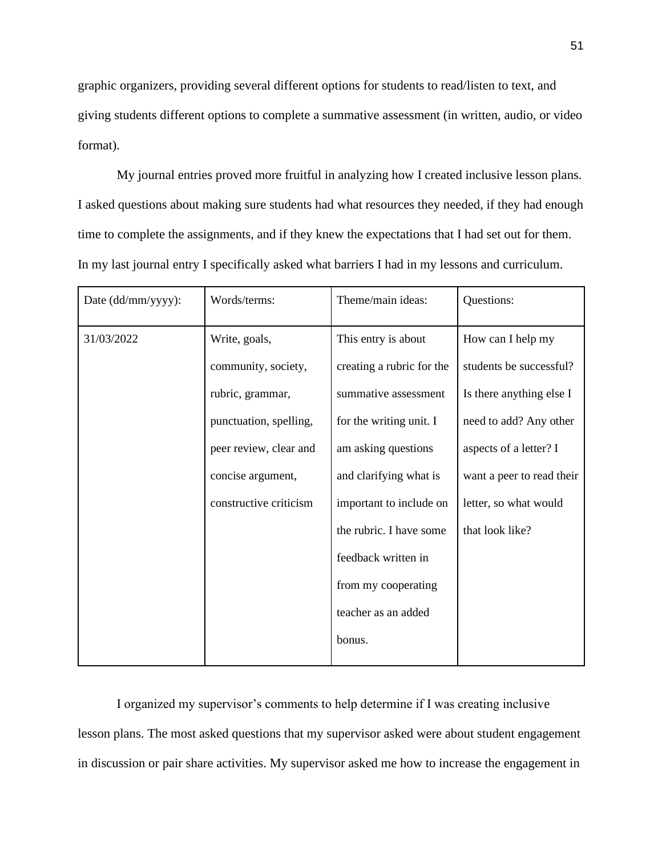graphic organizers, providing several different options for students to read/listen to text, and giving students different options to complete a summative assessment (in written, audio, or video format).

My journal entries proved more fruitful in analyzing how I created inclusive lesson plans. I asked questions about making sure students had what resources they needed, if they had enough time to complete the assignments, and if they knew the expectations that I had set out for them. In my last journal entry I specifically asked what barriers I had in my lessons and curriculum.

| Date (dd/mm/yyyy): | Words/terms:           | Theme/main ideas:         | Questions:                |
|--------------------|------------------------|---------------------------|---------------------------|
| 31/03/2022         | Write, goals,          | This entry is about       | How can I help my         |
|                    | community, society,    | creating a rubric for the | students be successful?   |
|                    | rubric, grammar,       | summative assessment      | Is there anything else I  |
|                    | punctuation, spelling, | for the writing unit. I   | need to add? Any other    |
|                    | peer review, clear and | am asking questions       | aspects of a letter? I    |
|                    | concise argument,      | and clarifying what is    | want a peer to read their |
|                    | constructive criticism | important to include on   | letter, so what would     |
|                    |                        | the rubric. I have some   | that look like?           |
|                    |                        | feedback written in       |                           |
|                    |                        | from my cooperating       |                           |
|                    |                        | teacher as an added       |                           |
|                    |                        | bonus.                    |                           |
|                    |                        |                           |                           |

I organized my supervisor's comments to help determine if I was creating inclusive lesson plans. The most asked questions that my supervisor asked were about student engagement in discussion or pair share activities. My supervisor asked me how to increase the engagement in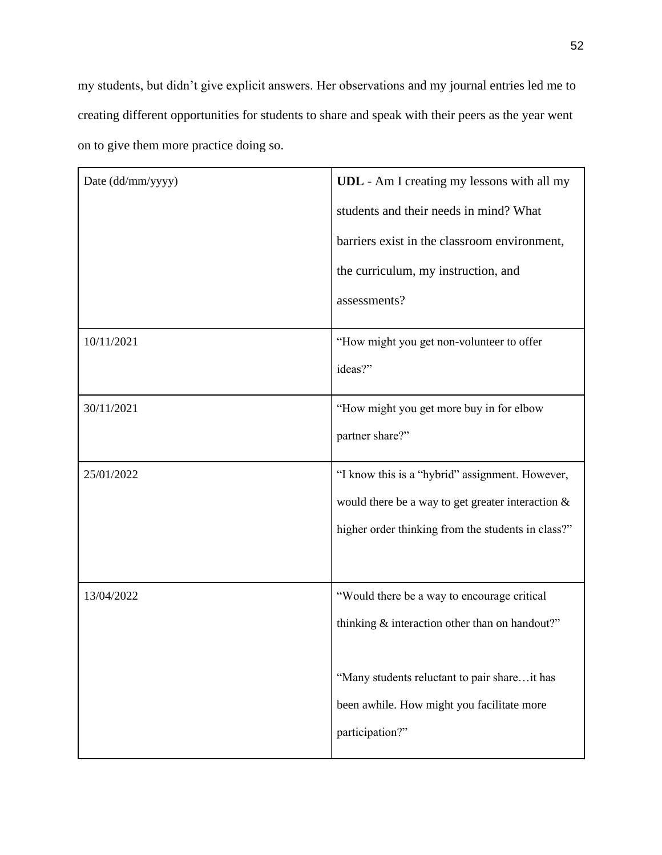my students, but didn't give explicit answers. Her observations and my journal entries led me to creating different opportunities for students to share and speak with their peers as the year went on to give them more practice doing so.

| Date (dd/mm/yyyy) | <b>UDL</b> - Am I creating my lessons with all my<br>students and their needs in mind? What |
|-------------------|---------------------------------------------------------------------------------------------|
|                   | barriers exist in the classroom environment,                                                |
|                   | the curriculum, my instruction, and                                                         |
|                   | assessments?                                                                                |
| 10/11/2021        | "How might you get non-volunteer to offer                                                   |
|                   | ideas?"                                                                                     |
| 30/11/2021        | "How might you get more buy in for elbow                                                    |
|                   | partner share?"                                                                             |
| 25/01/2022        | "I know this is a "hybrid" assignment. However,                                             |
|                   | would there be a way to get greater interaction $\&$                                        |
|                   | higher order thinking from the students in class?"                                          |
|                   |                                                                                             |
| 13/04/2022        | "Would there be a way to encourage critical                                                 |
|                   | thinking & interaction other than on handout?"                                              |
|                   | "Many students reluctant to pair shareit has                                                |
|                   | been awhile. How might you facilitate more                                                  |
|                   | participation?"                                                                             |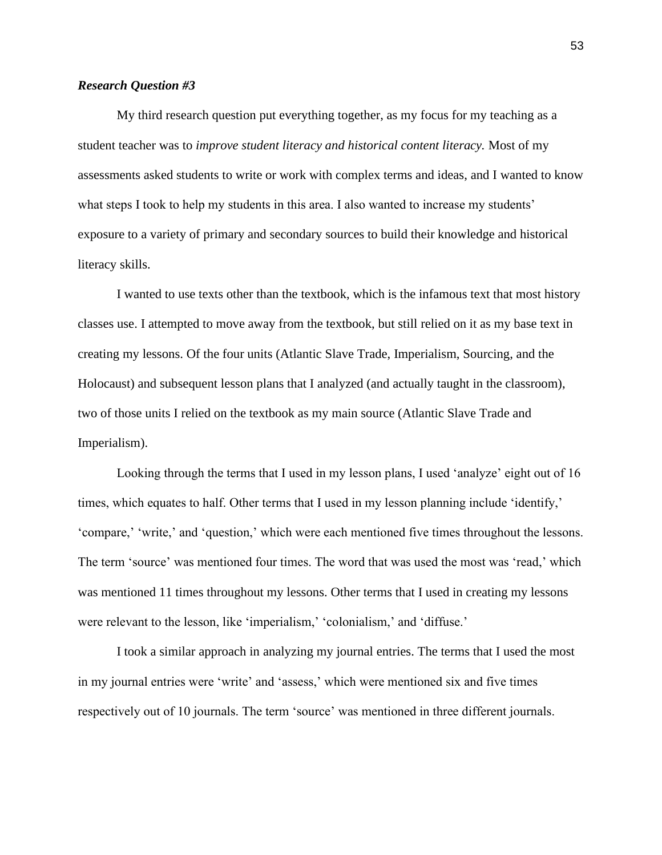### *Research Question #3*

My third research question put everything together, as my focus for my teaching as a student teacher was to *improve student literacy and historical content literacy.* Most of my assessments asked students to write or work with complex terms and ideas, and I wanted to know what steps I took to help my students in this area. I also wanted to increase my students' exposure to a variety of primary and secondary sources to build their knowledge and historical literacy skills.

I wanted to use texts other than the textbook, which is the infamous text that most history classes use. I attempted to move away from the textbook, but still relied on it as my base text in creating my lessons. Of the four units (Atlantic Slave Trade, Imperialism, Sourcing, and the Holocaust) and subsequent lesson plans that I analyzed (and actually taught in the classroom), two of those units I relied on the textbook as my main source (Atlantic Slave Trade and Imperialism).

Looking through the terms that I used in my lesson plans, I used 'analyze' eight out of 16 times, which equates to half. Other terms that I used in my lesson planning include 'identify,' 'compare,' 'write,' and 'question,' which were each mentioned five times throughout the lessons. The term 'source' was mentioned four times. The word that was used the most was 'read,' which was mentioned 11 times throughout my lessons. Other terms that I used in creating my lessons were relevant to the lesson, like 'imperialism,' 'colonialism,' and 'diffuse.'

I took a similar approach in analyzing my journal entries. The terms that I used the most in my journal entries were 'write' and 'assess,' which were mentioned six and five times respectively out of 10 journals. The term 'source' was mentioned in three different journals.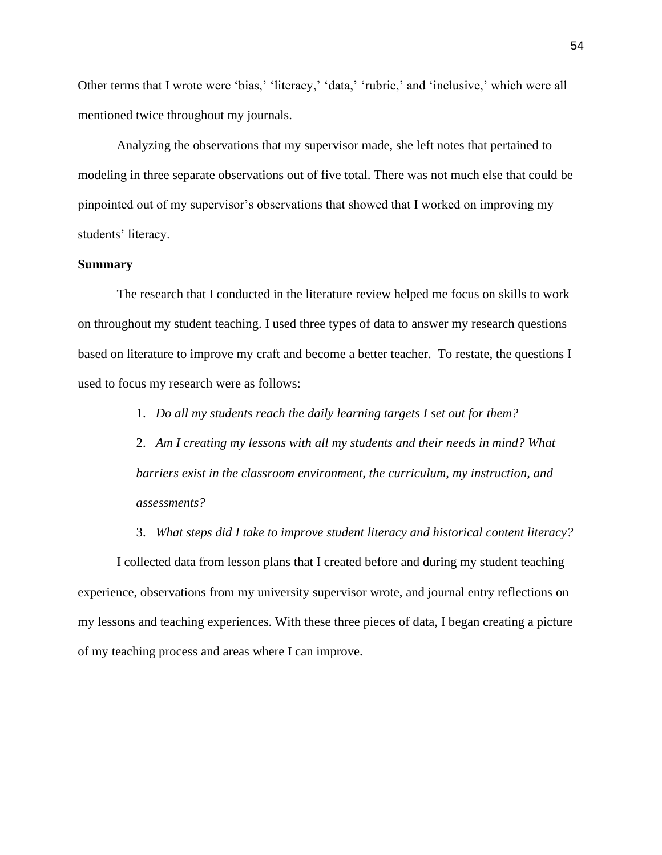Other terms that I wrote were 'bias,' 'literacy,' 'data,' 'rubric,' and 'inclusive,' which were all mentioned twice throughout my journals.

Analyzing the observations that my supervisor made, she left notes that pertained to modeling in three separate observations out of five total. There was not much else that could be pinpointed out of my supervisor's observations that showed that I worked on improving my students' literacy.

#### **Summary**

The research that I conducted in the literature review helped me focus on skills to work on throughout my student teaching. I used three types of data to answer my research questions based on literature to improve my craft and become a better teacher. To restate, the questions I used to focus my research were as follows:

1. *Do all my students reach the daily learning targets I set out for them?*

2. *Am I creating my lessons with all my students and their needs in mind? What barriers exist in the classroom environment, the curriculum, my instruction, and assessments?*

3. *What steps did I take to improve student literacy and historical content literacy?* 

I collected data from lesson plans that I created before and during my student teaching experience, observations from my university supervisor wrote, and journal entry reflections on my lessons and teaching experiences. With these three pieces of data, I began creating a picture of my teaching process and areas where I can improve.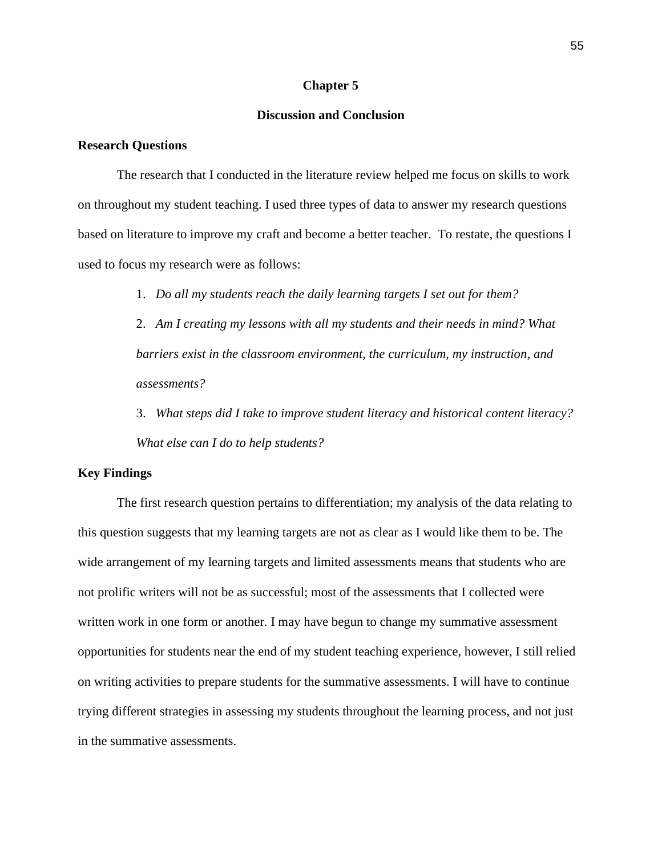#### **Chapter 5**

## **Discussion and Conclusion**

#### **Research Questions**

The research that I conducted in the literature review helped me focus on skills to work on throughout my student teaching. I used three types of data to answer my research questions based on literature to improve my craft and become a better teacher. To restate, the questions I used to focus my research were as follows:

1. *Do all my students reach the daily learning targets I set out for them?*

2. *Am I creating my lessons with all my students and their needs in mind? What barriers exist in the classroom environment, the curriculum, my instruction, and assessments?*

3. *What steps did I take to improve student literacy and historical content literacy? What else can I do to help students?*

#### **Key Findings**

The first research question pertains to differentiation; my analysis of the data relating to this question suggests that my learning targets are not as clear as I would like them to be. The wide arrangement of my learning targets and limited assessments means that students who are not prolific writers will not be as successful; most of the assessments that I collected were written work in one form or another. I may have begun to change my summative assessment opportunities for students near the end of my student teaching experience, however, I still relied on writing activities to prepare students for the summative assessments. I will have to continue trying different strategies in assessing my students throughout the learning process, and not just in the summative assessments.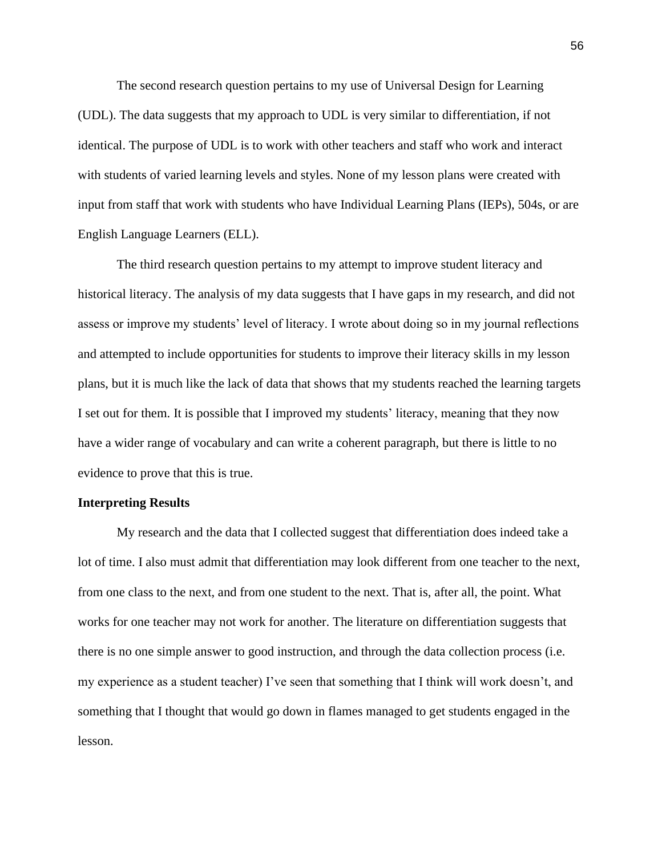The second research question pertains to my use of Universal Design for Learning (UDL). The data suggests that my approach to UDL is very similar to differentiation, if not identical. The purpose of UDL is to work with other teachers and staff who work and interact with students of varied learning levels and styles. None of my lesson plans were created with input from staff that work with students who have Individual Learning Plans (IEPs), 504s, or are English Language Learners (ELL).

The third research question pertains to my attempt to improve student literacy and historical literacy. The analysis of my data suggests that I have gaps in my research, and did not assess or improve my students' level of literacy. I wrote about doing so in my journal reflections and attempted to include opportunities for students to improve their literacy skills in my lesson plans, but it is much like the lack of data that shows that my students reached the learning targets I set out for them. It is possible that I improved my students' literacy, meaning that they now have a wider range of vocabulary and can write a coherent paragraph, but there is little to no evidence to prove that this is true.

#### **Interpreting Results**

My research and the data that I collected suggest that differentiation does indeed take a lot of time. I also must admit that differentiation may look different from one teacher to the next, from one class to the next, and from one student to the next. That is, after all, the point. What works for one teacher may not work for another. The literature on differentiation suggests that there is no one simple answer to good instruction, and through the data collection process (i.e. my experience as a student teacher) I've seen that something that I think will work doesn't, and something that I thought that would go down in flames managed to get students engaged in the lesson.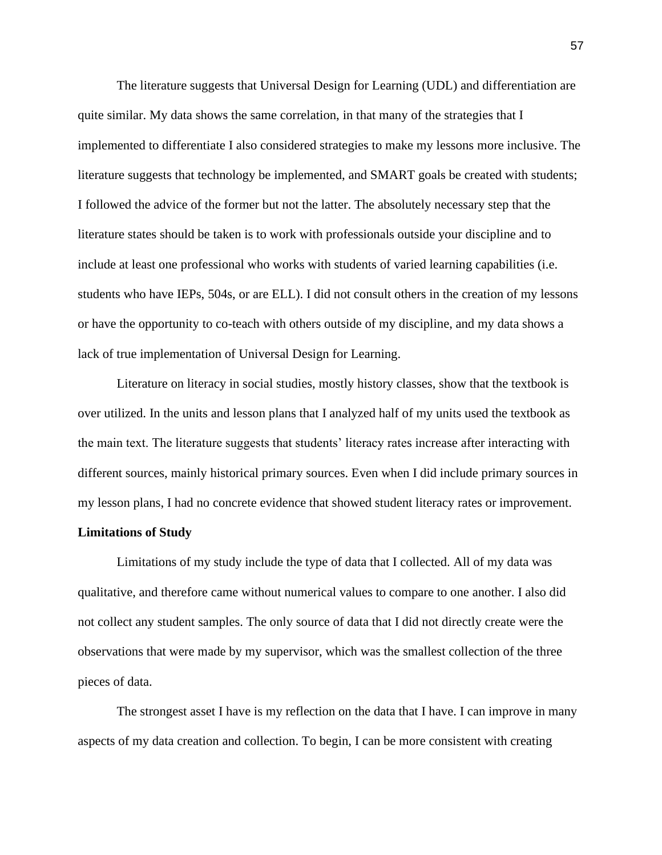The literature suggests that Universal Design for Learning (UDL) and differentiation are quite similar. My data shows the same correlation, in that many of the strategies that I implemented to differentiate I also considered strategies to make my lessons more inclusive. The literature suggests that technology be implemented, and SMART goals be created with students; I followed the advice of the former but not the latter. The absolutely necessary step that the literature states should be taken is to work with professionals outside your discipline and to include at least one professional who works with students of varied learning capabilities (i.e. students who have IEPs, 504s, or are ELL). I did not consult others in the creation of my lessons or have the opportunity to co-teach with others outside of my discipline, and my data shows a lack of true implementation of Universal Design for Learning.

Literature on literacy in social studies, mostly history classes, show that the textbook is over utilized. In the units and lesson plans that I analyzed half of my units used the textbook as the main text. The literature suggests that students' literacy rates increase after interacting with different sources, mainly historical primary sources. Even when I did include primary sources in my lesson plans, I had no concrete evidence that showed student literacy rates or improvement.

#### **Limitations of Study**

Limitations of my study include the type of data that I collected. All of my data was qualitative, and therefore came without numerical values to compare to one another. I also did not collect any student samples. The only source of data that I did not directly create were the observations that were made by my supervisor, which was the smallest collection of the three pieces of data.

The strongest asset I have is my reflection on the data that I have. I can improve in many aspects of my data creation and collection. To begin, I can be more consistent with creating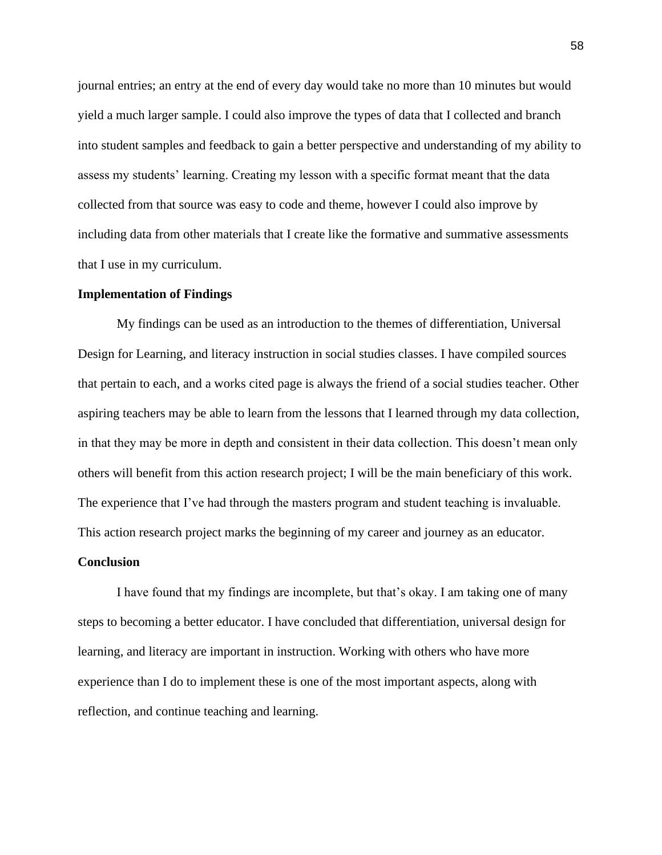journal entries; an entry at the end of every day would take no more than 10 minutes but would yield a much larger sample. I could also improve the types of data that I collected and branch into student samples and feedback to gain a better perspective and understanding of my ability to assess my students' learning. Creating my lesson with a specific format meant that the data collected from that source was easy to code and theme, however I could also improve by including data from other materials that I create like the formative and summative assessments that I use in my curriculum.

#### **Implementation of Findings**

My findings can be used as an introduction to the themes of differentiation, Universal Design for Learning, and literacy instruction in social studies classes. I have compiled sources that pertain to each, and a works cited page is always the friend of a social studies teacher. Other aspiring teachers may be able to learn from the lessons that I learned through my data collection, in that they may be more in depth and consistent in their data collection. This doesn't mean only others will benefit from this action research project; I will be the main beneficiary of this work. The experience that I've had through the masters program and student teaching is invaluable. This action research project marks the beginning of my career and journey as an educator.

#### **Conclusion**

I have found that my findings are incomplete, but that's okay. I am taking one of many steps to becoming a better educator. I have concluded that differentiation, universal design for learning, and literacy are important in instruction. Working with others who have more experience than I do to implement these is one of the most important aspects, along with reflection, and continue teaching and learning.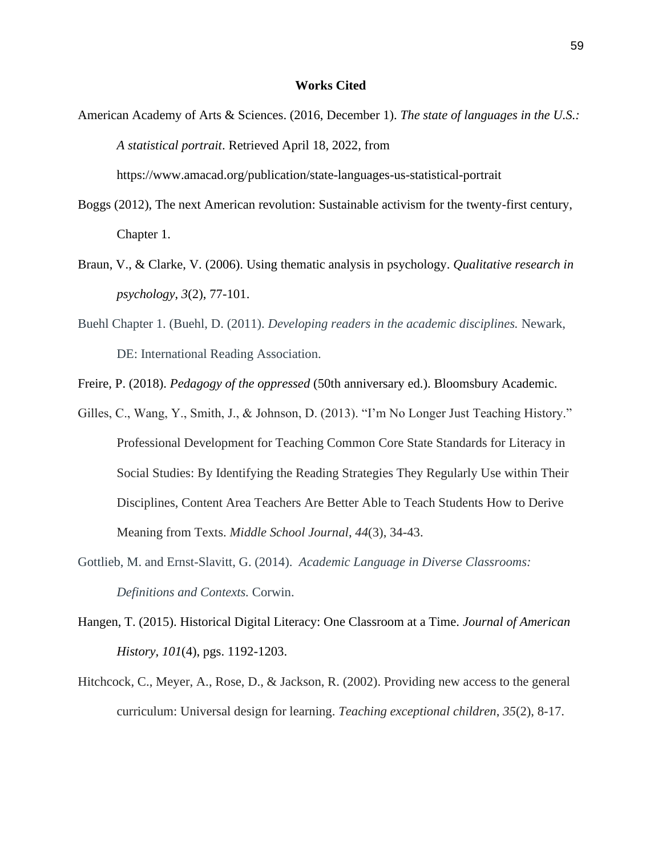#### **Works Cited**

American Academy of Arts & Sciences. (2016, December 1). *The state of languages in the U.S.: A statistical portrait*. Retrieved April 18, 2022, from

https://www.amacad.org/publication/state-languages-us-statistical-portrait

- Boggs (2012), The next American revolution: Sustainable activism for the twenty-first century, Chapter 1.
- Braun, V., & Clarke, V. (2006). Using thematic analysis in psychology. *Qualitative research in psychology*, *3*(2), 77-101.
- Buehl Chapter 1. (Buehl, D. (2011). *Developing readers in the academic disciplines.* Newark, DE: International Reading Association.
- Freire, P. (2018). *Pedagogy of the oppressed* (50th anniversary ed.). Bloomsbury Academic.
- Gilles, C., Wang, Y., Smith, J., & Johnson, D. (2013). "I'm No Longer Just Teaching History." Professional Development for Teaching Common Core State Standards for Literacy in Social Studies: By Identifying the Reading Strategies They Regularly Use within Their Disciplines, Content Area Teachers Are Better Able to Teach Students How to Derive Meaning from Texts. *Middle School Journal*, *44*(3), 34-43.
- Gottlieb, M. and Ernst-Slavitt, G. (2014). *Academic Language in Diverse Classrooms: Definitions and Contexts.* Corwin.
- Hangen, T. (2015). Historical Digital Literacy: One Classroom at a Time. *Journal of American History, 101*(4), pgs. 1192-1203.
- Hitchcock, C., Meyer, A., Rose, D., & Jackson, R. (2002). Providing new access to the general curriculum: Universal design for learning. *Teaching exceptional children*, *35*(2), 8-17.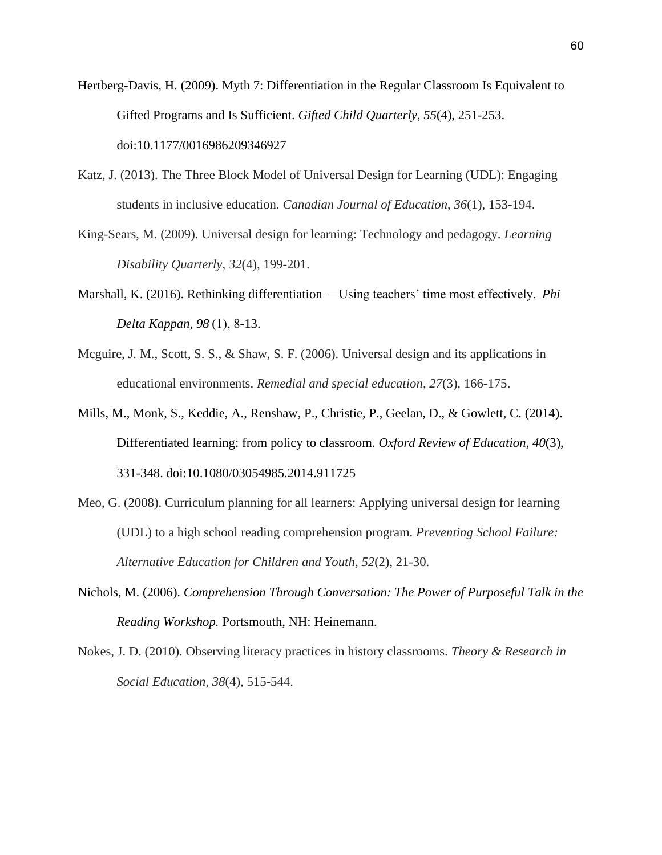- Hertberg-Davis, H. (2009). Myth 7: Differentiation in the Regular Classroom Is Equivalent to Gifted Programs and Is Sufficient. *Gifted Child Quarterly*, *55*(4), 251-253. doi:10.1177/0016986209346927
- Katz, J. (2013). The Three Block Model of Universal Design for Learning (UDL): Engaging students in inclusive education. *Canadian Journal of Education*, *36*(1), 153-194.
- King-Sears, M. (2009). Universal design for learning: Technology and pedagogy. *Learning Disability Quarterly*, *32*(4), 199-201.
- Marshall, K. (2016). Rethinking differentiation —Using teachers' time most effectively.  *Phi Delta Kappan, 98* (1), 8-13.
- Mcguire, J. M., Scott, S. S., & Shaw, S. F. (2006). Universal design and its applications in educational environments. *Remedial and special education*, *27*(3), 166-175.
- Mills, M., Monk, S., Keddie, A., Renshaw, P., Christie, P., Geelan, D., & Gowlett, C. (2014). Differentiated learning: from policy to classroom. *Oxford Review of Education*, *40*(3), 331-348. doi:10.1080/03054985.2014.911725
- Meo, G. (2008). Curriculum planning for all learners: Applying universal design for learning (UDL) to a high school reading comprehension program. *Preventing School Failure: Alternative Education for Children and Youth*, *52*(2), 21-30.
- Nichols, M. (2006). *Comprehension Through Conversation: The Power of Purposeful Talk in the Reading Workshop.* Portsmouth, NH: Heinemann.
- Nokes, J. D. (2010). Observing literacy practices in history classrooms. *Theory & Research in Social Education*, *38*(4), 515-544.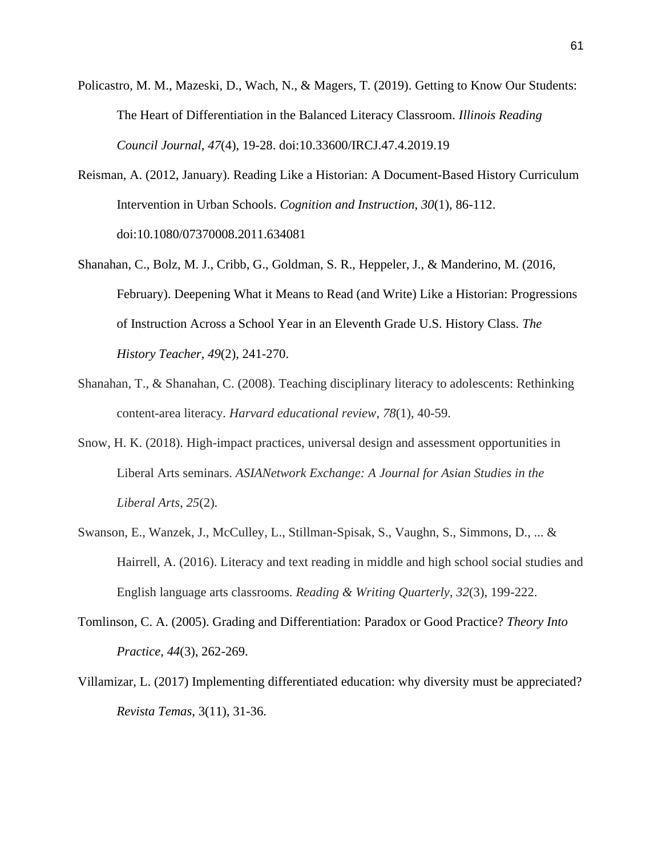- Policastro, M. M., Mazeski, D., Wach, N., & Magers, T. (2019). Getting to Know Our Students: The Heart of Differentiation in the Balanced Literacy Classroom. *Illinois Reading Council Journal*, *47*(4), 19-28. doi:10.33600/IRCJ.47.4.2019.19
- Reisman, A. (2012, January). Reading Like a Historian: A Document-Based History Curriculum Intervention in Urban Schools. *Cognition and Instruction*, *30*(1), 86-112. doi:10.1080/07370008.2011.634081
- Shanahan, C., Bolz, M. J., Cribb, G., Goldman, S. R., Heppeler, J., & Manderino, M. (2016, February). Deepening What it Means to Read (and Write) Like a Historian: Progressions of Instruction Across a School Year in an Eleventh Grade U.S. History Class. *The History Teacher*, *49*(2), 241-270.
- Shanahan, T., & Shanahan, C. (2008). Teaching disciplinary literacy to adolescents: Rethinking content-area literacy. *Harvard educational review*, *78*(1), 40-59.
- Snow, H. K. (2018). High-impact practices, universal design and assessment opportunities in Liberal Arts seminars. *ASIANetwork Exchange: A Journal for Asian Studies in the Liberal Arts*, *25*(2).
- Swanson, E., Wanzek, J., McCulley, L., Stillman-Spisak, S., Vaughn, S., Simmons, D., ... & Hairrell, A. (2016). Literacy and text reading in middle and high school social studies and English language arts classrooms. *Reading & Writing Quarterly*, *32*(3), 199-222.
- Tomlinson, C. A. (2005). Grading and Differentiation: Paradox or Good Practice? *Theory Into Practice*, *44*(3), 262-269.
- Villamizar, L. (2017) Implementing differentiated education: why diversity must be appreciated? *Revista Temas*, 3(11), 31-36.